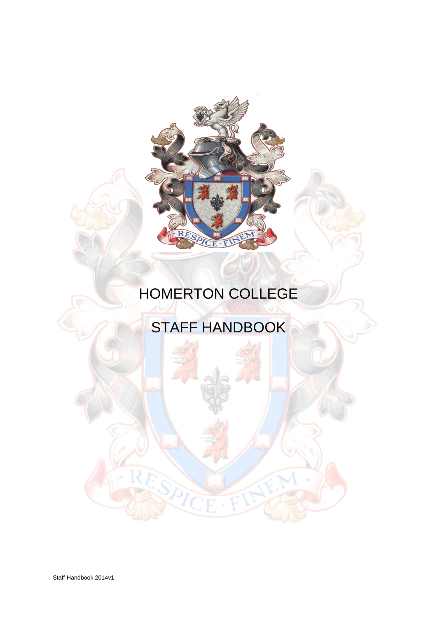

# HOMERTON COLLEGE

# STAFF HANDBOOK

Staff Handbook 2014v1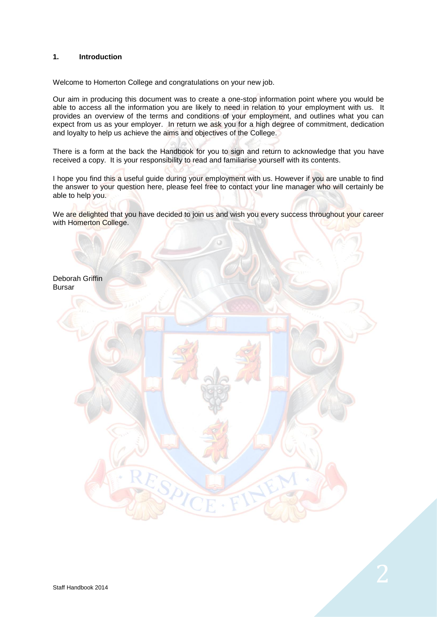# **1. Introduction**

Welcome to Homerton College and congratulations on your new job.

Our aim in producing this document was to create a one-stop information point where you would be able to access all the information you are likely to need in relation to your employment with us. It provides an overview of the terms and conditions of your employment, and outlines what you can expect from us as your employer. In return we ask you for a high degree of commitment, dedication and loyalty to help us achieve the aims and objectives of the College.

There is a form at the back the Handbook for you to sign and return to acknowledge that you have received a copy. It is your responsibility to read and familiarise yourself with its contents.

I hope you find this a useful guide during your employment with us. However if you are unable to find the answer to your question here, please feel free to contact your line manager who will certainly be able to help you.

We are delighted that you have decided to join us and wish you every success throughout your career with Homerton College.

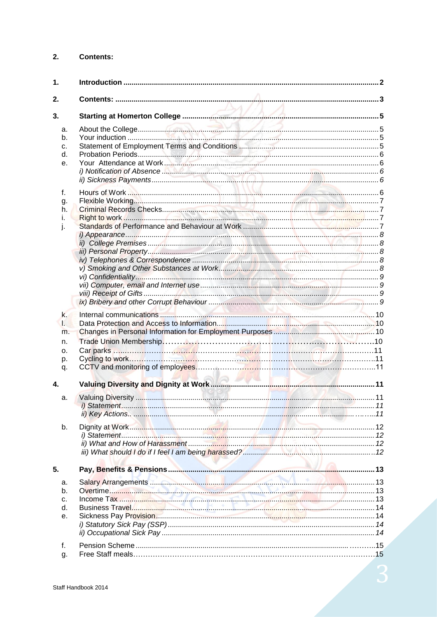#### $2.$ **Contents:**

| 1.                                    |                                                                                                                                                                                                                                     |  |
|---------------------------------------|-------------------------------------------------------------------------------------------------------------------------------------------------------------------------------------------------------------------------------------|--|
| 2.                                    |                                                                                                                                                                                                                                     |  |
| 3.                                    |                                                                                                                                                                                                                                     |  |
| a.<br>b.<br>c.<br>d.<br>е.<br>f.      |                                                                                                                                                                                                                                     |  |
| g.<br>h.<br>L.<br>j.                  |                                                                                                                                                                                                                                     |  |
| k.<br>Ы<br>m.<br>n.<br>о.<br>p.<br>q. |                                                                                                                                                                                                                                     |  |
| 4.                                    |                                                                                                                                                                                                                                     |  |
| a.                                    |                                                                                                                                                                                                                                     |  |
| b.                                    | Dignity at Work <b>Which and Construction Construction</b> and the United States of the United States and the United States of the United States of the United States and the United States of the United States of the United Stat |  |
| 5.                                    |                                                                                                                                                                                                                                     |  |
| a.<br>b.<br>c.<br>d.<br>е.            |                                                                                                                                                                                                                                     |  |
| f.<br>g.                              |                                                                                                                                                                                                                                     |  |

3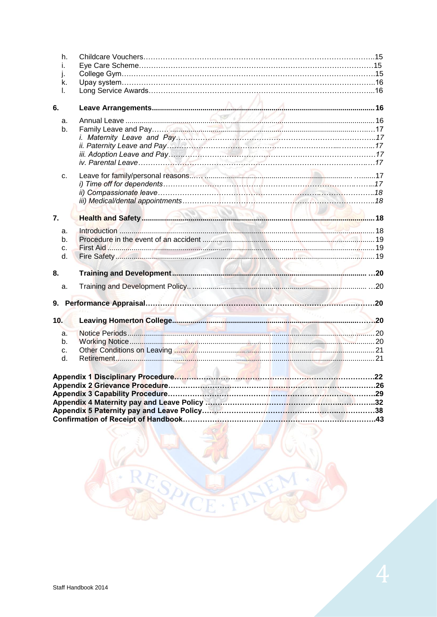| h.  |                                                                  |  |
|-----|------------------------------------------------------------------|--|
| L.  |                                                                  |  |
| j.  |                                                                  |  |
| k.  |                                                                  |  |
| L.  |                                                                  |  |
| 6.  |                                                                  |  |
| a.  |                                                                  |  |
| b.  |                                                                  |  |
|     |                                                                  |  |
|     |                                                                  |  |
|     |                                                                  |  |
|     |                                                                  |  |
| C.  |                                                                  |  |
|     |                                                                  |  |
|     |                                                                  |  |
|     |                                                                  |  |
| 7.  |                                                                  |  |
| a.  |                                                                  |  |
| b.  |                                                                  |  |
| c.  |                                                                  |  |
| d.  |                                                                  |  |
| 8.  |                                                                  |  |
| a.  |                                                                  |  |
|     |                                                                  |  |
|     |                                                                  |  |
| 10. |                                                                  |  |
| a.  |                                                                  |  |
| b.  |                                                                  |  |
| c.  | Other Conditions on Leaving <b>Manufacture and Conditions</b> 21 |  |
| d.  |                                                                  |  |
|     |                                                                  |  |
|     |                                                                  |  |
|     |                                                                  |  |
|     |                                                                  |  |
|     |                                                                  |  |
|     |                                                                  |  |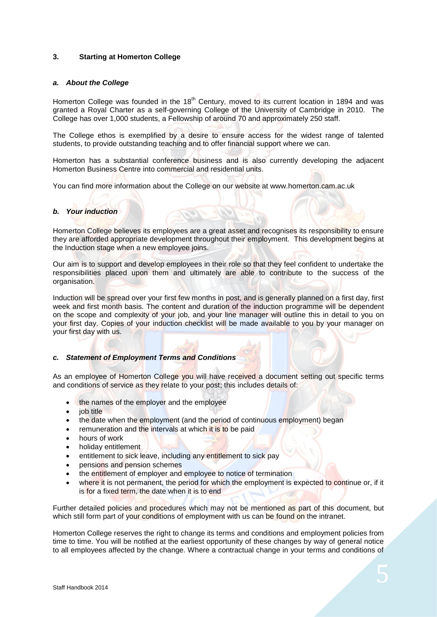# **3. Starting at Homerton College**

#### <span id="page-4-0"></span>*a. About the College*

Homerton College was founded in the  $18<sup>th</sup>$  Century, moved to its current location in 1894 and was granted a Royal Charter as a self-governing College of the University of Cambridge in 2010. The College has over 1,000 students, a Fellowship of around 70 and approximately 250 staff.

The College ethos is exemplified by a desire to ensure access for the widest range of talented students, to provide outstanding teaching and to offer financial support where we can.

Homerton has a substantial conference business and is also currently developing the adjacent Homerton Business Centre into commercial and residential units.

You can find more information about the College on our website at www.homerton.cam.ac.uk

#### *b. Your induction*

Homerton College believes its employees are a great asset and recognises its responsibility to ensure they are afforded appropriate development throughout their employment. This development begins at the Induction stage when a new employee joins.

Our aim is to support and develop employees in their role so that they feel confident to undertake the responsibilities placed upon them and ultimately are able to contribute to the success of the organisation.

Induction will be spread over your first few months in post, and is generally planned on a first day, first week and first month basis. The content and duration of the induction programme will be dependent on the scope and complexity of your job, and your line manager will outline this in detail to you on your first day. Copies of your induction checklist will be made available to you by your manager on your first day with us.

#### *c. Statement of Employment Terms and Conditions*

As an employee of Homerton College you will have received a document setting out specific terms and conditions of service as they relate to your post; this includes details of:

- the names of the employer and the employee
- job title
- the date when the employment (and the period of continuous employment) began
- remuneration and the intervals at which it is to be paid
- hours of work
- holiday entitlement
- entitlement to sick leave, including any entitlement to sick pay
- pensions and pension schemes
- the entitlement of employer and employee to notice of termination
- where it is not permanent, the period for which the employment is expected to continue or, if it is for a fixed term, the date when it is to end

Further detailed policies and procedures which may not be mentioned as part of this document, but which still form part of your conditions of employment with us can be found on the intranet.

Homerton College reserves the right to change its terms and conditions and employment policies from time to time. You will be notified at the earliest opportunity of these changes by way of general notice to all employees affected by the change. Where a contractual change in your terms and conditions of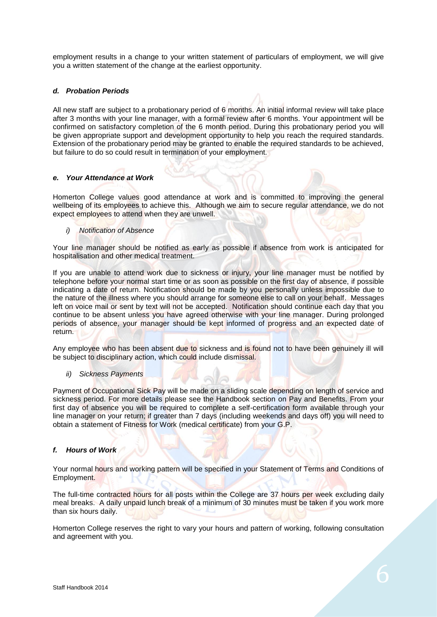employment results in a change to your written statement of particulars of employment, we will give you a written statement of the change at the earliest opportunity.

# *d. Probation Periods*

All new staff are subject to a probationary period of 6 months. An initial informal review will take place after 3 months with your line manager, with a formal review after 6 months. Your appointment will be confirmed on satisfactory completion of the 6 month period. During this probationary period you will be given appropriate support and development opportunity to help you reach the required standards. Extension of the probationary period may be granted to enable the required standards to be achieved, but failure to do so could result in termination of your employment.

#### *e. Your Attendance at Work*

Homerton College values good attendance at work and is committed to improving the general wellbeing of its employees to achieve this. Although we aim to secure regular attendance, we do not expect employees to attend when they are unwell.

# *i) Notification of Absence*

Your line manager should be notified as early as possible if absence from work is anticipated for hospitalisation and other medical treatment.

If you are unable to attend work due to sickness or injury, your line manager must be notified by telephone before your normal start time or as soon as possible on the first day of absence, if possible indicating a date of return. Notification should be made by you personally unless impossible due to the nature of the illness where you should arrange for someone else to call on your behalf. Messages left on voice mail or sent by text will not be accepted. Notification should continue each day that you continue to be absent unless you have agreed otherwise with your line manager. During prolonged periods of absence, your manager should be kept informed of progress and an expected date of return.

Any employee who has been absent due to sickness and is found not to have been genuinely ill will be subject to disciplinary action, which could include dismissal.

#### *ii) Sickness Payments*

Payment of Occupational Sick Pay will be made on a sliding scale depending on length of service and sickness period. For more details please see the Handbook section on Pay and Benefits. From your first day of absence you will be required to complete a self-certification form available through your line manager on your return; if greater than 7 days (including weekends and days off) you will need to obtain a statement of Fitness for Work (medical certificate) from your G.P.

#### *f. Hours of Work*

Your normal hours and working pattern will be specified in your Statement of Terms and Conditions of Employment.

The full-time contracted hours for all posts within the College are 37 hours per week excluding daily meal breaks. A daily unpaid lunch break of a minimum of 30 minutes must be taken if you work more than six hours daily.

Homerton College reserves the right to vary your hours and pattern of working, following consultation and agreement with you.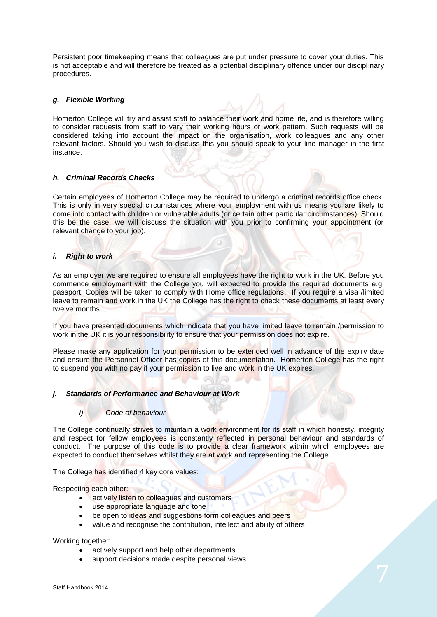Persistent poor timekeeping means that colleagues are put under pressure to cover your duties. This is not acceptable and will therefore be treated as a potential disciplinary offence under our disciplinary procedures.

# *g. Flexible Working*

Homerton College will try and assist staff to balance their work and home life, and is therefore willing to consider requests from staff to vary their working hours or work pattern. Such requests will be considered taking into account the impact on the organisation, work colleagues and any other relevant factors. Should you wish to discuss this you should speak to your line manager in the first instance.

# *h. Criminal Records Checks*

Certain employees of Homerton College may be required to undergo a criminal records office check. This is only in very special circumstances where your employment with us means you are likely to come into contact with children or vulnerable adults (or certain other particular circumstances). Should this be the case, we will discuss the situation with you prior to confirming your appointment (or relevant change to your job).

#### *i. Right to work*

As an employer we are required to ensure all employees have the right to work in the UK. Before you commence employment with the College you will expected to provide the required documents e.g. passport. Copies will be taken to comply with Home office regulations. If you require a visa /limited leave to remain and work in the UK the College has the right to check these documents at least every twelve months.

If you have presented documents which indicate that you have limited leave to remain /permission to work in the UK it is your responsibility to ensure that your permission does not expire.

Please make any application for your permission to be extended well in advance of the expiry date and ensure the Personnel Officer has copies of this documentation. Homerton College has the right to suspend you with no pay if your permission to live and work in the UK expires.

#### *j. Standards of Performance and Behaviour at Work*

#### *i) Code of behaviour*

The College continually strives to maintain a work environment for its staff in which honesty, integrity and respect for fellow employees is constantly reflected in personal behaviour and standards of conduct. The purpose of this code is to provide a clear framework within which employees are expected to conduct themselves whilst they are at work and representing the College.

The College has identified 4 key core values:

Respecting each other:

- actively listen to colleagues and customers
- use appropriate language and tone
- be open to ideas and suggestions form colleagues and peers
- value and recognise the contribution, intellect and ability of others

Working together:

- actively support and help other departments
- support decisions made despite personal views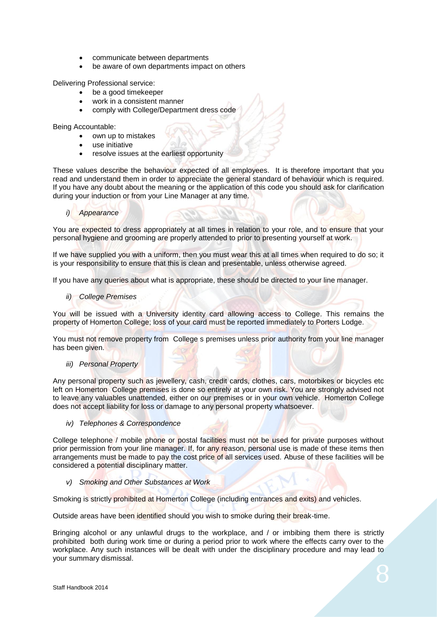- communicate between departments
- be aware of own departments impact on others

Delivering Professional service:

- be a good timekeeper
- work in a consistent manner
- comply with College/Department dress code

Being Accountable:

- own up to mistakes
- use initiative
- resolve issues at the earliest opportunity

These values describe the behaviour expected of all employees. It is therefore important that you read and understand them in order to appreciate the general standard of behaviour which is required. If you have any doubt about the meaning or the application of this code you should ask for clarification during your induction or from your Line Manager at any time.

#### *i) Appearance*

You are expected to dress appropriately at all times in relation to your role, and to ensure that your personal hygiene and grooming are properly attended to prior to presenting yourself at work.

If we have supplied you with a uniform, then you must wear this at all times when required to do so; it is your responsibility to ensure that this is clean and presentable, unless otherwise agreed.

If you have any queries about what is appropriate, these should be directed to your line manager.

# *ii) College Premises*

You will be issued with a University identity card allowing access to College. This remains the property of Homerton College; loss of your card must be reported immediately to Porters Lodge.

You must not remove property from College s premises unless prior authority from your line manager has been given.

## *iii) Personal Property*

Any personal property such as jewellery, cash, credit cards, clothes, cars, motorbikes or bicycles etc left on Homerton College premises is done so entirely at your own risk. You are strongly advised not to leave any valuables unattended, either on our premises or in your own vehicle. Homerton College does not accept liability for loss or damage to any personal property whatsoever.

#### *iv) Telephones & Correspondence*

College telephone / mobile phone or postal facilities must not be used for private purposes without prior permission from your line manager. If, for any reason, personal use is made of these items then arrangements must be made to pay the cost price of all services used. Abuse of these facilities will be considered a potential disciplinary matter.

#### *v) Smoking and Other Substances at Work*

Smoking is strictly prohibited at Homerton College (including entrances and exits) and vehicles.

Outside areas have been identified should you wish to smoke during their break-time.

Bringing alcohol or any unlawful drugs to the workplace, and / or imbibing them there is strictly prohibited both during work time or during a period prior to work where the effects carry over to the workplace. Any such instances will be dealt with under the disciplinary procedure and may lead to your summary dismissal.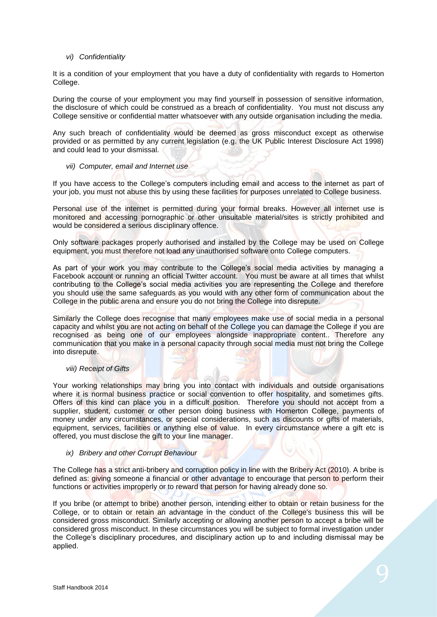# *vi) Confidentiality*

It is a condition of your employment that you have a duty of confidentiality with regards to Homerton College.

During the course of your employment you may find yourself in possession of sensitive information, the disclosure of which could be construed as a breach of confidentiality. You must not discuss any College sensitive or confidential matter whatsoever with any outside organisation including the media.

Any such breach of confidentiality would be deemed as gross misconduct except as otherwise provided or as permitted by any current legislation (e.g. the UK Public Interest Disclosure Act 1998) and could lead to your dismissal.

*vii) Computer, email and Internet use*

If you have access to the College's computers including email and access to the internet as part of your job, you must not abuse this by using these facilities for purposes unrelated to College business.

Personal use of the internet is permitted during your formal breaks. However all internet use is monitored and accessing pornographic or other unsuitable material/sites is strictly prohibited and would be considered a serious disciplinary offence.

Only software packages properly authorised and installed by the College may be used on College equipment, you must therefore not load any unauthorised software onto College computers.

As part of your work you may contribute to the College's social media activities by managing a Facebook account or running an official Twitter account. You must be aware at all times that whilst contributing to the College's social media activities you are representing the College and therefore you should use the same safeguards as you would with any other form of communication about the College in the public arena and ensure you do not bring the College into disrepute.

Similarly the College does recognise that many employees make use of social media in a personal capacity and whilst you are not acting on behalf of the College you can damage the College if you are recognised as being one of our employees alongside inappropriate content.. Therefore any communication that you make in a personal capacity through social media must not bring the College into disrepute.

#### *viii) Receipt of Gifts*

Your working relationships may bring you into contact with individuals and outside organisations where it is normal business practice or social convention to offer hospitality, and sometimes gifts. Offers of this kind can place you in a difficult position. Therefore you should not accept from a supplier, student, customer or other person doing business with Homerton College, payments of money under any circumstances, or special considerations, such as discounts or gifts of materials, equipment, services, facilities or anything else of value. In every circumstance where a gift etc is offered, you must disclose the gift to your line manager.

#### *ix) Bribery and other Corrupt Behaviour*

The College has a strict anti-bribery and corruption policy in line with the Bribery Act (2010). A bribe is defined as: giving someone a financial or other advantage to encourage that person to perform their functions or activities improperly or to reward that person for having already done so.

If you bribe (or attempt to bribe) another person, intending either to obtain or retain business for the College, or to obtain or retain an advantage in the conduct of the College's business this will be considered gross misconduct. Similarly accepting or allowing another person to accept a bribe will be considered gross misconduct. In these circumstances you will be subject to formal investigation under the College's disciplinary procedures, and disciplinary action up to and including dismissal may be applied.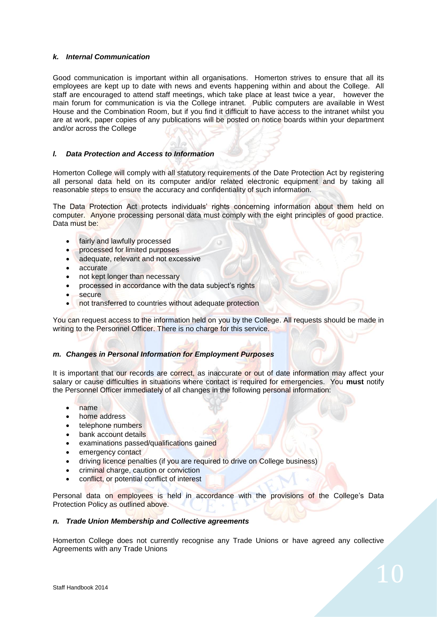# *k. Internal Communication*

Good communication is important within all organisations. Homerton strives to ensure that all its employees are kept up to date with news and events happening within and about the College. All staff are encouraged to attend staff meetings, which take place at least twice a year, however the main forum for communication is via the College intranet. Public computers are available in West House and the Combination Room, but if you find it difficult to have access to the intranet whilst you are at work, paper copies of any publications will be posted on notice boards within your department and/or across the College

# *l. Data Protection and Access to Information*

Homerton College will comply with all statutory requirements of the Date Protection Act by registering all personal data held on its computer and/or related electronic equipment and by taking all reasonable steps to ensure the accuracy and confidentiality of such information.

The Data Protection Act protects individuals' rights concerning information about them held on computer. Anyone processing personal data must comply with the eight principles of good practice. Data must be:

- fairly and lawfully processed
- processed for limited purposes
- adequate, relevant and not excessive
- accurate
- not kept longer than necessary
- processed in accordance with the data subject's rights
- secure
- not transferred to countries without adequate protection

You can request access to the information held on you by the College. All requests should be made in writing to the Personnel Officer. There is no charge for this service.

# *m. Changes in Personal Information for Employment Purposes*

It is important that our records are correct, as inaccurate or out of date information may affect your salary or cause difficulties in situations where contact is required for emergencies. You **must** notify the Personnel Officer immediately of all changes in the following personal information:

- name
- home address
- telephone numbers
- bank account details
- examinations passed/qualifications gained
- emergency contact
- driving licence penalties (if you are required to drive on College business)
- criminal charge, caution or conviction
- conflict, or potential conflict of interest

Personal data on employees is held in accordance with the provisions of the College's Data Protection Policy as outlined above.

# *n. Trade Union Membership and Collective agreements*

Homerton College does not currently recognise any Trade Unions or have agreed any collective Agreements with any Trade Unions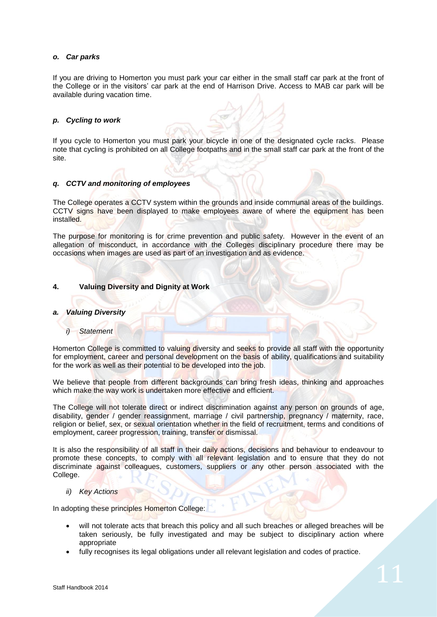#### *o. Car parks*

If you are driving to Homerton you must park your car either in the small staff car park at the front of the College or in the visitors' car park at the end of Harrison Drive. Access to MAB car park will be available during vacation time.

# *p. Cycling to work*

If you cycle to Homerton you must park your bicycle in one of the designated cycle racks. Please note that cycling is prohibited on all College footpaths and in the small staff car park at the front of the site.

# *q. CCTV and monitoring of employees*

The College operates a CCTV system within the grounds and inside communal areas of the buildings. CCTV signs have been displayed to make employees aware of where the equipment has been installed.

The purpose for monitoring is for crime prevention and public safety. However in the event of an allegation of misconduct, in accordance with the Colleges disciplinary procedure there may be occasions when images are used as part of an investigation and as evidence.

# **4. Valuing Diversity and Dignity at Work**

#### *a. Valuing Diversity*

#### *i) Statement*

Homerton College is committed to valuing diversity and seeks to provide all staff with the opportunity for employment, career and personal development on the basis of ability, qualifications and suitability for the work as well as their potential to be developed into the job.

We believe that people from different backgrounds can bring fresh ideas, thinking and approaches which make the way work is undertaken more effective and efficient.

The College will not tolerate direct or indirect discrimination against any person on grounds of age, disability, gender / gender reassignment, marriage / civil partnership, pregnancy / maternity, race, religion or belief, sex, or sexual orientation whether in the field of recruitment, terms and conditions of employment, career progression, training, transfer or dismissal.

It is also the responsibility of all staff in their daily actions, decisions and behaviour to endeavour to promote these concepts, to comply with all relevant legislation and to ensure that they do not discriminate against colleagues, customers, suppliers or any other person associated with the College.

#### *ii) Key Actions*

In adopting these principles Homerton College:

- will not tolerate acts that breach this policy and all such breaches or alleged breaches will be taken seriously, be fully investigated and may be subject to disciplinary action where appropriate
- fully recognises its legal obligations under all relevant legislation and codes of practice.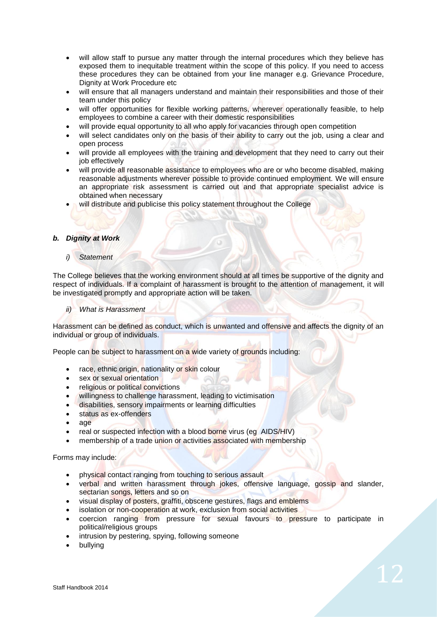- will allow staff to pursue any matter through the internal procedures which they believe has exposed them to inequitable treatment within the scope of this policy. If you need to access these procedures they can be obtained from your line manager e.g. Grievance Procedure, Dignity at Work Procedure etc
- will ensure that all managers understand and maintain their responsibilities and those of their team under this policy
- will offer opportunities for flexible working patterns, wherever operationally feasible, to help employees to combine a career with their domestic responsibilities
- will provide equal opportunity to all who apply for vacancies through open competition
- will select candidates only on the basis of their ability to carry out the job, using a clear and open process
- will provide all employees with the training and development that they need to carry out their job effectively
- will provide all reasonable assistance to employees who are or who become disabled, making reasonable adjustments wherever possible to provide continued employment. We will ensure an appropriate risk assessment is carried out and that appropriate specialist advice is obtained when necessary
- will distribute and publicise this policy statement throughout the College

#### *b. Dignity at Work*

# *i) Statement*

The College believes that the working environment should at all times be supportive of the dignity and respect of individuals. If a complaint of harassment is brought to the attention of management, it will be investigated promptly and appropriate action will be taken.

#### *ii) What is Harassment*

Harassment can be defined as conduct, which is unwanted and offensive and affects the dignity of an individual or group of individuals.

People can be subject to harassment on a wide variety of grounds including:

- race, ethnic origin, nationality or skin colour
- sex or sexual orientation
- religious or political convictions
- willingness to challenge harassment, leading to victimisation
- disabilities, sensory impairments or learning difficulties
- status as ex-offenders
- age
- real or suspected infection with a blood borne virus (eg AIDS/HIV)
- membership of a trade union or activities associated with membership

#### Forms may include:

- physical contact ranging from touching to serious assault
- verbal and written harassment through jokes, offensive language, gossip and slander, sectarian songs, letters and so on
- visual display of posters, graffiti, obscene gestures, flags and emblems
- isolation or non-cooperation at work, exclusion from social activities
- coercion ranging from pressure for sexual favours to pressure to participate in political/religious groups
- intrusion by pestering, spying, following someone
- bullying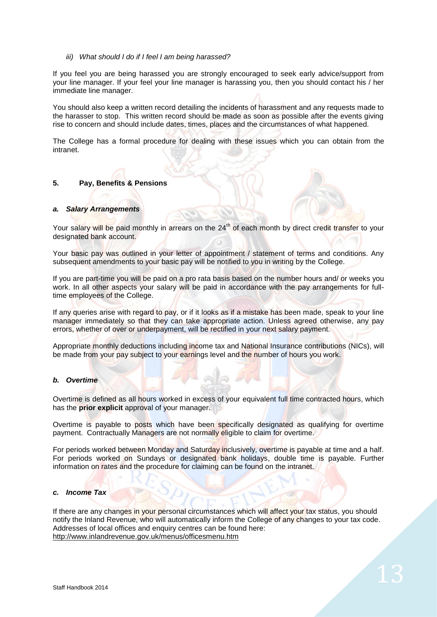*iii) What should I do if I feel I am being harassed?*

If you feel you are being harassed you are strongly encouraged to seek early advice/support from your line manager. If your feel your line manager is harassing you, then you should contact his / her immediate line manager.

You should also keep a written record detailing the incidents of harassment and any requests made to the harasser to stop. This written record should be made as soon as possible after the events giving rise to concern and should include dates, times, places and the circumstances of what happened.

The College has a formal procedure for dealing with these issues which you can obtain from the intranet.

# **5. Pay, Benefits & Pensions**

#### *a. Salary Arrangements*

Your salary will be paid monthly in arrears on the 24<sup>th</sup> of each month by direct credit transfer to your designated bank account.

Your basic pay was outlined in your letter of appointment / statement of terms and conditions. Any subsequent amendments to your basic pay will be notified to you in writing by the College.

If you are part-time you will be paid on a pro rata basis based on the number hours and/ or weeks you work. In all other aspects your salary will be paid in accordance with the pay arrangements for fulltime employees of the College.

If any queries arise with regard to pay, or if it looks as if a mistake has been made, speak to your line manager immediately so that they can take appropriate action. Unless agreed otherwise, any pay errors, whether of over or underpayment, will be rectified in your next salary payment.

Appropriate monthly deductions including income tax and National Insurance contributions (NICs), will be made from your pay subject to your earnings level and the number of hours you work.

#### *b. Overtime*

Overtime is defined as all hours worked in excess of your equivalent full time contracted hours, which has the **prior explicit** approval of your manager.

Overtime is payable to posts which have been specifically designated as qualifying for overtime payment. Contractually Managers are not normally eligible to claim for overtime.

For periods worked between Monday and Saturday inclusively, overtime is payable at time and a half. For periods worked on Sundays or designated bank holidays, double time is payable. Further information on rates and the procedure for claiming can be found on the intranet.

#### *c. Income Tax*

If there are any changes in your personal circumstances which will affect your tax status, you should notify the Inland Revenue, who will automatically inform the College of any changes to your tax code. Addresses of local offices and enquiry centres can be found here: <http://www.inlandrevenue.gov.uk/menus/officesmenu.htm>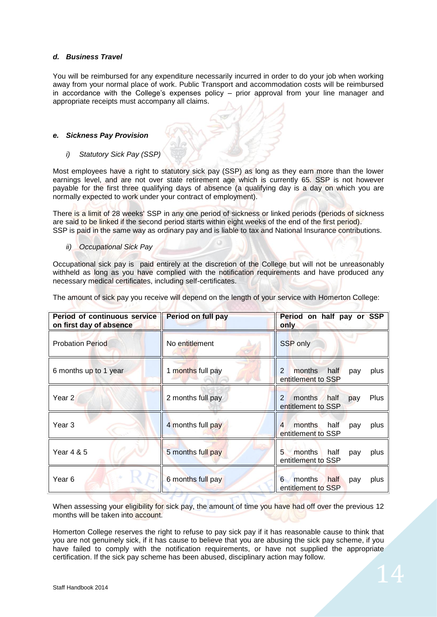# *d. Business Travel*

You will be reimbursed for any expenditure necessarily incurred in order to do your job when working away from your normal place of work. Public Transport and accommodation costs will be reimbursed in accordance with the College's expenses policy – prior approval from your line manager and appropriate receipts must accompany all claims.

## *e. Sickness Pay Provision*

*i) Statutory Sick Pay (SSP)* 

Most employees have a right to statutory sick pay (SSP) as long as they earn more than the lower earnings level, and are not over state retirement age which is currently 65. SSP is not however payable for the first three qualifying days of absence (a qualifying day is a day on which you are normally expected to work under your contract of employment).

There is a limit of 28 weeks' SSP in any one period of sickness or linked periods (periods of sickness are said to be linked if the second period starts within eight weeks of the end of the first period). SSP is paid in the same way as ordinary pay and is liable to tax and National Insurance contributions.

*ii) Occupational Sick Pay* 

Occupational sick pay is paid entirely at the discretion of the College but will not be unreasonably withheld as long as you have complied with the notification requirements and have produced any necessary medical certificates, including self-certificates.

The amount of sick pay you receive will depend on the length of your service with Homerton College:

 $(1, 2)$ 

| Period of continuous service<br>on first day of absence | <b>Period on full pay</b> | Period on half pay or SSP<br>only                                     |
|---------------------------------------------------------|---------------------------|-----------------------------------------------------------------------|
| <b>Probation Period</b>                                 | No entitlement            | SSP only                                                              |
| 6 months up to 1 year                                   | 1 months full pay         | $\overline{2}$<br>months<br>half<br>plus<br>pay<br>entitlement to SSP |
| Year 2                                                  | 2 months full pay         | half<br>Plus<br>months<br>2<br>pay<br>entitlement to SSP              |
| Year <sub>3</sub>                                       | 4 months full pay         | months<br>half<br>4<br>plus<br>pay<br>entitlement to SSP              |
| Year 4 & 5                                              | 5 months full pay         | 5<br>months<br>half<br>plus<br>pay<br>entitlement to SSP              |
| Year 6                                                  | 6 months full pay         | months<br>half<br>6<br>plus<br>pay<br>entitlement to SSP              |

When assessing your eligibility for sick pay, the amount of time you have had off over the previous 12 months will be taken into account.

Homerton College reserves the right to refuse to pay sick pay if it has reasonable cause to think that you are not genuinely sick, if it has cause to believe that you are abusing the sick pay scheme, if you have failed to comply with the notification requirements, or have not supplied the appropriate certification. If the sick pay scheme has been abused, disciplinary action may follow.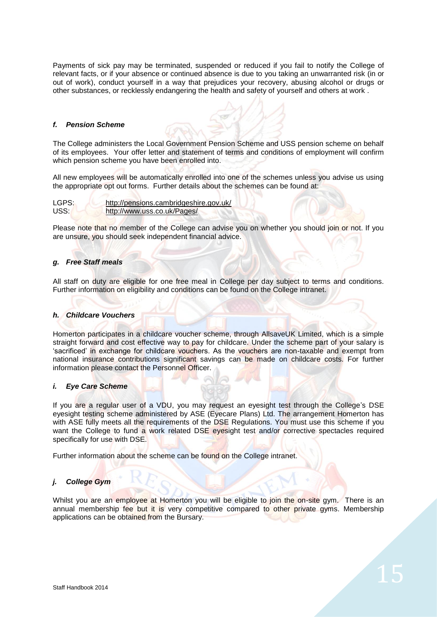Payments of sick pay may be terminated, suspended or reduced if you fail to notify the College of relevant facts, or if your absence or continued absence is due to you taking an unwarranted risk (in or out of work), conduct yourself in a way that prejudices your recovery, abusing alcohol or drugs or other substances, or recklessly endangering the health and safety of yourself and others at work .

#### *f. Pension Scheme*

The College administers the Local Government Pension Scheme and USS pension scheme on behalf of its employees. Your offer letter and statement of terms and conditions of employment will confirm which pension scheme you have been enrolled into.

All new employees will be automatically enrolled into one of the schemes unless you advise us using the appropriate opt out forms. Further details about the schemes can be found at:

| LGPS: | http://pensions.cambridgeshire.gov.uk/ |
|-------|----------------------------------------|
| USS:  | http://www.uss.co.uk/Pages/            |

Please note that no member of the College can advise you on whether you should join or not. If you are unsure, you should seek independent financial advice.

#### *g. Free Staff meals*

All staff on duty are eligible for one free meal in College per day subject to terms and conditions. Further information on eligibility and conditions can be found on the College intranet.

#### *h. Childcare Vouchers*

Homerton participates in a childcare voucher scheme, through AllsaveUK Limited, which is a simple straight forward and cost effective way to pay for childcare. Under the scheme part of your salary is 'sacrificed' in exchange for childcare vouchers. As the vouchers are non-taxable and exempt from national insurance contributions significant savings can be made on childcare costs. For further information please contact the Personnel Officer.

#### *i. Eye Care Scheme*

If you are a regular user of a VDU, you may request an eyesight test through the College's DSE eyesight testing scheme administered by ASE (Eyecare Plans) Ltd. The arrangement Homerton has with ASE fully meets all the requirements of the DSE Regulations. You must use this scheme if you want the College to fund a work related DSE eyesight test and/or corrective spectacles required specifically for use with DSE.

Further information about the scheme can be found on the College intranet.

#### *j. College Gym*

Whilst you are an employee at Homerton you will be eligible to join the on-site gym. There is an annual membership fee but it is very competitive compared to other private gyms. Membership applications can be obtained from the Bursary.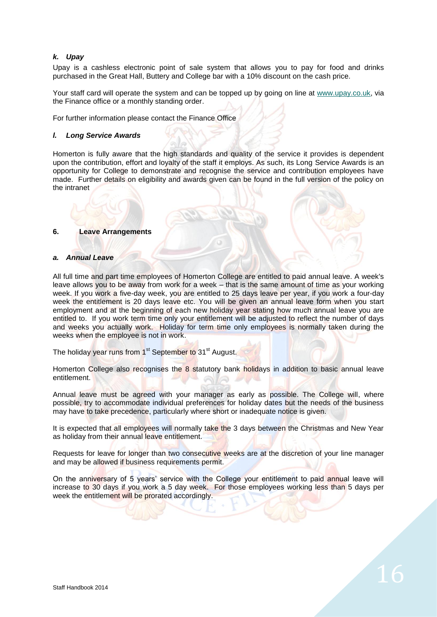# *k. Upay*

Upay is a cashless electronic point of sale system that allows you to pay for food and drinks purchased in the Great Hall, Buttery and College bar with a 10% discount on the cash price.

Your staff card will operate the system and can be topped up by going on line at [www.upay.co.uk,](http://www.upay.co.uk/) via the Finance office or a monthly standing order.

For further information please contact the Finance Office

#### *l. Long Service Awards*

Homerton is fully aware that the high standards and quality of the service it provides is dependent upon the contribution, effort and loyalty of the staff it employs. As such, its Long Service Awards is an opportunity for College to demonstrate and recognise the service and contribution employees have made. Further details on eligibility and awards given can be found in the full version of the policy on the intranet

## **6. Leave Arrangements**

#### *a. Annual Leave*

All full time and part time employees of Homerton College are entitled to paid annual leave. A week's leave allows you to be away from work for a week – that is the same amount of time as your working week. If you work a five-day week, you are entitled to 25 days leave per year, if you work a four-day week the entitlement is 20 days leave etc. You will be given an annual leave form when you start employment and at the beginning of each new holiday year stating how much annual leave you are entitled to. If you work term time only your entitlement will be adjusted to reflect the number of days and weeks you actually work. Holiday for term time only employees is normally taken during the weeks when the employee is not in work.

The holiday year runs from 1<sup>st</sup> September to 31<sup>st</sup> August.

Homerton College also recognises the 8 statutory bank holidays in addition to basic annual leave entitlement.

Annual leave must be agreed with your manager as early as possible. The College will, where possible, try to accommodate individual preferences for holiday dates but the needs of the business may have to take precedence, particularly where short or inadequate notice is given.

It is expected that all employees will normally take the 3 days between the Christmas and New Year as holiday from their annual leave entitlement.

Requests for leave for longer than two consecutive weeks are at the discretion of your line manager and may be allowed if business requirements permit.

On the anniversary of 5 years' service with the College your entitlement to paid annual leave will increase to 30 days if you work a 5 day week. For those employees working less than 5 days per week the entitlement will be prorated accordingly.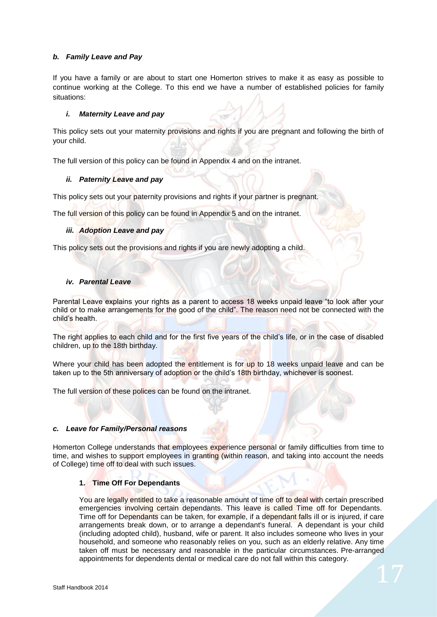# *b. Family Leave and Pay*

If you have a family or are about to start one Homerton strives to make it as easy as possible to continue working at the College. To this end we have a number of established policies for family situations:

# *i. Maternity Leave and pay*

This policy sets out your maternity provisions and rights if you are pregnant and following the birth of your child.

The full version of this policy can be found in Appendix 4 and on the intranet.

# *ii. Paternity Leave and pay*

This policy sets out your paternity provisions and rights if your partner is pregnant.

The full version of this policy can be found in Appendix 5 and on the intranet.

# *iii. Adoption Leave and pay*

This policy sets out the provisions and rights if you are newly adopting a child.

# *iv. Parental Leave*

Parental Leave explains your rights as a parent to access 18 weeks unpaid leave "to look after your child or to make arrangements for the good of the child". The reason need not be connected with the child's health.

The right applies to each child and for the first five years of the child's life, or in the case of disabled children, up to the 18th birthday.

Where your child has been adopted the entitlement is for up to 18 weeks unpaid leave and can be taken up to the 5th anniversary of adoption or the child's 18th birthday, whichever is soonest.

The full version of these polices can be found on the intranet.

# *c. Leave for Family/Personal reasons*

Homerton College understands that employees experience personal or family difficulties from time to time, and wishes to support employees in granting (within reason, and taking into account the needs of College) time off to deal with such issues.

# **1. Time Off For Dependants**

You are legally entitled to take a reasonable amount of time off to deal with certain prescribed emergencies involving certain dependants. This leave is called Time off for Dependants. Time off for Dependants can be taken, for example, if a dependant falls ill or is injured, if care arrangements break down, or to arrange a dependant's funeral. A dependant is your child (including adopted child), husband, wife or parent. It also includes someone who lives in your household, and someone who reasonably relies on you, such as an elderly relative. Any time taken off must be necessary and reasonable in the particular circumstances. Pre-arranged appointments for dependents dental or medical care do not fall within this category.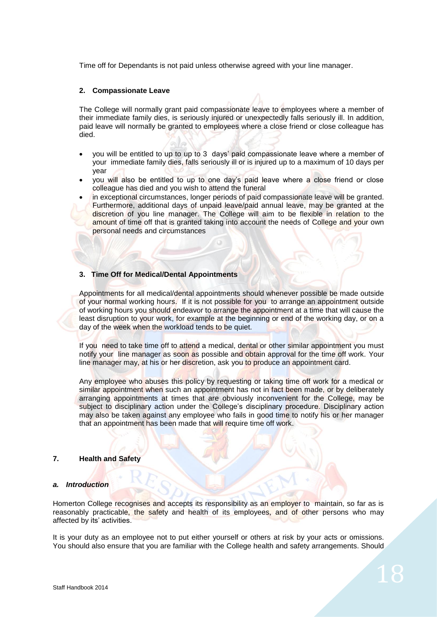Time off for Dependants is not paid unless otherwise agreed with your line manager.

## **2. Compassionate Leave**

The College will normally grant paid compassionate leave to employees where a member of their immediate family dies, is seriously injured or unexpectedly falls seriously ill. In addition, paid leave will normally be granted to employees where a close friend or close colleague has died.

- you will be entitled to up to up to 3 days' paid compassionate leave where a member of your immediate family dies, falls seriously ill or is injured up to a maximum of 10 days per year
- you will also be entitled to up to one day's paid leave where a close friend or close colleague has died and you wish to attend the funeral
- in exceptional circumstances, longer periods of paid compassionate leave will be granted. Furthermore, additional days of unpaid leave/paid annual leave, may be granted at the discretion of you line manager. The College will aim to be flexible in relation to the amount of time off that is granted taking into account the needs of College and your own personal needs and circumstances

# **3. Time Off for Medical/Dental Appointments**

Appointments for all medical/dental appointments should whenever possible be made outside of your normal working hours. If it is not possible for you to arrange an appointment outside of working hours you should endeavor to arrange the appointment at a time that will cause the least disruption to your work, for example at the beginning or end of the working day, or on a day of the week when the workload tends to be quiet.

If you need to take time off to attend a medical, dental or other similar appointment you must notify your line manager as soon as possible and obtain approval for the time off work. Your line manager may, at his or her discretion, ask you to produce an appointment card.

Any employee who abuses this policy by requesting or taking time off work for a medical or similar appointment when such an appointment has not in fact been made, or by deliberately arranging appointments at times that are obviously inconvenient for the College, may be subject to disciplinary action under the College's disciplinary procedure. Disciplinary action may also be taken against any employee who fails in good time to notify his or her manager that an appointment has been made that will require time off work.

#### **7. Health and Safety**

#### *a. Introduction*

Homerton College recognises and accepts its responsibility as an employer to maintain, so far as is reasonably practicable, the safety and health of its employees, and of other persons who may affected by its' activities.

It is your duty as an employee not to put either yourself or others at risk by your acts or omissions. You should also ensure that you are familiar with the College health and safety arrangements. Should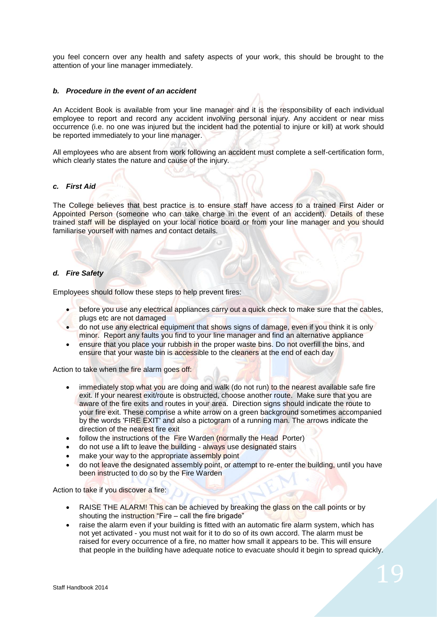you feel concern over any health and safety aspects of your work, this should be brought to the attention of your line manager immediately.

#### *b. Procedure in the event of an accident*

An Accident Book is available from your line manager and it is the responsibility of each individual employee to report and record any accident involving personal injury. Any accident or near miss occurrence (i.e. no one was injured but the incident had the potential to injure or kill) at work should be reported immediately to your line manager.

All employees who are absent from work following an accident must complete a self-certification form, which clearly states the nature and cause of the injury.

#### *c. First Aid*

The College believes that best practice is to ensure staff have access to a trained First Aider or Appointed Person (someone who can take charge in the event of an accident). Details of these trained staff will be displayed on your local notice board or from your line manager and you should familiarise yourself with names and contact details.

#### *d. Fire Safety*

Employees should follow these steps to help prevent fires:

- before you use any electrical appliances carry out a quick check to make sure that the cables, plugs etc are not damaged
- do not use any electrical equipment that shows signs of damage, even if you think it is only minor. Report any faults you find to your line manager and find an alternative appliance
- ensure that you place your rubbish in the proper waste bins. Do not overfill the bins, and ensure that your waste bin is accessible to the cleaners at the end of each day

Action to take when the fire alarm goes off:

- immediately stop what you are doing and walk (do not run) to the nearest available safe fire exit. If your nearest exit/route is obstructed, choose another route. Make sure that you are aware of the fire exits and routes in your area. Direction signs should indicate the route to your fire exit. These comprise a white arrow on a green background sometimes accompanied by the words 'FIRE EXIT' and also a pictogram of a running man. The arrows indicate the direction of the nearest fire exit
- follow the instructions of the Fire Warden (normally the Head Porter)
- do not use a lift to leave the building always use designated stairs
- make your way to the appropriate assembly point
- do not leave the designated assembly point, or attempt to re-enter the building, until you have been instructed to do so by the Fire Warden

Action to take if you discover a fire:

- RAISE THE ALARM! This can be achieved by breaking the glass on the call points or by shouting the instruction "Fire – call the fire brigade"
- raise the alarm even if your building is fitted with an automatic fire alarm system, which has not yet activated - you must not wait for it to do so of its own accord. The alarm must be raised for every occurrence of a fire, no matter how small it appears to be. This will ensure that people in the building have adequate notice to evacuate should it begin to spread quickly.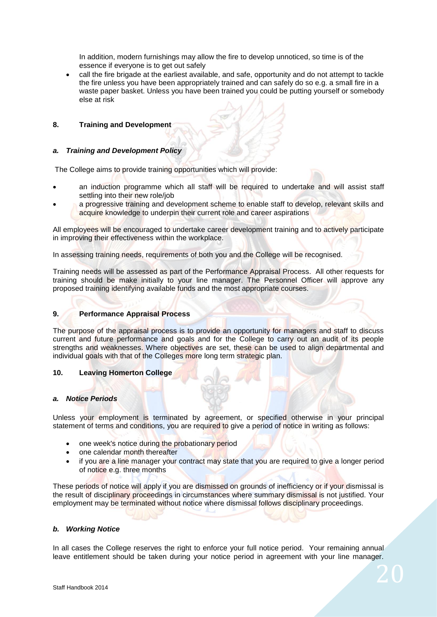In addition, modern furnishings may allow the fire to develop unnoticed, so time is of the essence if everyone is to get out safely

 call the fire brigade at the earliest available, and safe, opportunity and do not attempt to tackle the fire unless you have been appropriately trained and can safely do so e.g. a small fire in a waste paper basket. Unless you have been trained you could be putting yourself or somebody else at risk

# **8. Training and Development**

## *a. Training and Development Policy*

The College aims to provide training opportunities which will provide:

- an induction programme which all staff will be required to undertake and will assist staff settling into their new role/job
- a progressive training and development scheme to enable staff to develop, relevant skills and acquire knowledge to underpin their current role and career aspirations

All employees will be encouraged to undertake career development training and to actively participate in improving their effectiveness within the workplace.

In assessing training needs, requirements of both you and the College will be recognised.

Training needs will be assessed as part of the Performance Appraisal Process. All other requests for training should be make initially to your line manager. The Personnel Officer will approve any proposed training identifying available funds and the most appropriate courses.

# **9. Performance Appraisal Process**

The purpose of the appraisal process is to provide an opportunity for managers and staff to discuss current and future performance and goals and for the College to carry out an audit of its people strengths and weaknesses. Where objectives are set, these can be used to align departmental and individual goals with that of the Colleges more long term strategic plan.

#### **10. Leaving Homerton College**

#### *a. Notice Periods*

Unless your employment is terminated by agreement, or specified otherwise in your principal statement of terms and conditions, you are required to give a period of notice in writing as follows:

- one week's notice during the probationary period
- one calendar month thereafter
- if you are a line manager your contract may state that you are required to give a longer period of notice e.g. three months

These periods of notice will apply if you are dismissed on grounds of inefficiency or if your dismissal is the result of disciplinary proceedings in circumstances where summary dismissal is not justified. Your employment may be terminated without notice where dismissal follows disciplinary proceedings.

#### *b. Working Notice*

In all cases the College reserves the right to enforce your full notice period. Your remaining annual leave entitlement should be taken during your notice period in agreement with your line manager.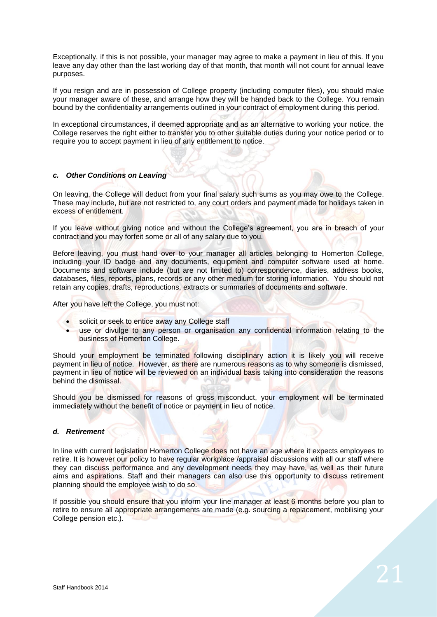Exceptionally, if this is not possible, your manager may agree to make a payment in lieu of this. If you leave any day other than the last working day of that month, that month will not count for annual leave purposes.

If you resign and are in possession of College property (including computer files), you should make your manager aware of these, and arrange how they will be handed back to the College. You remain bound by the confidentiality arrangements outlined in your contract of employment during this period.

In exceptional circumstances, if deemed appropriate and as an alternative to working your notice, the College reserves the right either to transfer you to other suitable duties during your notice period or to require you to accept payment in lieu of any entitlement to notice.

# *c. Other Conditions on Leaving*

On leaving, the College will deduct from your final salary such sums as you may owe to the College. These may include, but are not restricted to, any court orders and payment made for holidays taken in excess of entitlement.

If you leave without giving notice and without the College's agreement, you are in breach of your contract and you may forfeit some or all of any salary due to you.

Before leaving, you must hand over to your manager all articles belonging to Homerton College, including your ID badge and any documents, equipment and computer software used at home. Documents and software include (but are not limited to) correspondence, diaries, address books, databases, files, reports, plans, records or any other medium for storing information. You should not retain any copies, drafts, reproductions, extracts or summaries of documents and software.

After you have left the College, you must not:

- solicit or seek to entice away any College staff
- use or divulge to any person or organisation any confidential information relating to the business of Homerton College.

Should your employment be terminated following disciplinary action it is likely you will receive payment in lieu of notice. However, as there are numerous reasons as to why someone is dismissed, payment in lieu of notice will be reviewed on an individual basis taking into consideration the reasons behind the dismissal.

Should you be dismissed for reasons of gross misconduct, your employment will be terminated immediately without the benefit of notice or payment in lieu of notice.

# *d. Retirement*

In line with current legislation Homerton College does not have an age where it expects employees to retire. It is however our policy to have regular workplace /appraisal discussions with all our staff where they can discuss performance and any development needs they may have, as well as their future aims and aspirations. Staff and their managers can also use this opportunity to discuss retirement planning should the employee wish to do so.

If possible you should ensure that you inform your line manager at least 6 months before you plan to retire to ensure all appropriate arrangements are made (e.g. sourcing a replacement, mobilising your College pension etc.).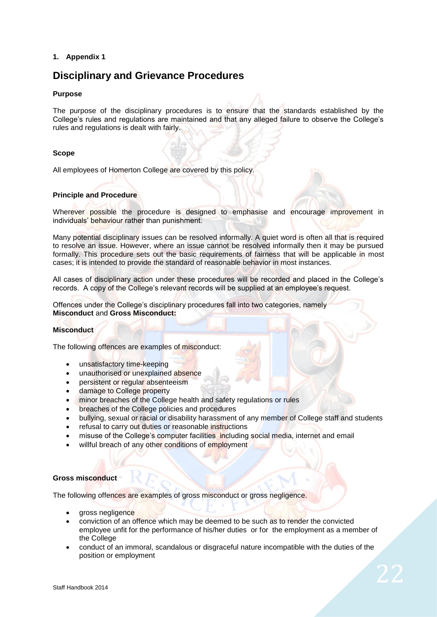# **1. Appendix 1**

# **Disciplinary and Grievance Procedures**

# **Purpose**

The purpose of the disciplinary procedures is to ensure that the standards established by the College's rules and regulations are maintained and that any alleged failure to observe the College's rules and regulations is dealt with fairly.

# **Scope**

All employees of Homerton College are covered by this policy.

# **Principle and Procedure**

Wherever possible the procedure is designed to emphasise and encourage improvement in individuals' behaviour rather than punishment.

Many potential disciplinary issues can be resolved informally. A quiet word is often all that is required to resolve an issue. However, where an issue cannot be resolved informally then it may be pursued formally. This procedure sets out the basic requirements of fairness that will be applicable in most cases; it is intended to provide the standard of reasonable behavior in most instances.

All cases of disciplinary action under these procedures will be recorded and placed in the College's records. A copy of the College's relevant records will be supplied at an employee's request.

Offences under the College's disciplinary procedures fall into two categories, namely **Misconduct** and **Gross Misconduct:**

# **Misconduct**

The following offences are examples of misconduct:

- unsatisfactory time-keeping
- unauthorised or unexplained absence
- persistent or regular absenteeism
- damage to College property
- minor breaches of the College health and safety regulations or rules
- breaches of the College policies and procedures
- bullying, sexual or racial or disability harassment of any member of College staff and students
- refusal to carry out duties or reasonable instructions
- misuse of the College's computer facilities including social media, internet and email
- willful breach of any other conditions of employment

# **Gross misconduct**

The following offences are examples of gross misconduct or gross negligence.

- gross negligence
- conviction of an offence which may be deemed to be such as to render the convicted employee unfit for the performance of his/her duties or for the employment as a member of the College
- conduct of an immoral, scandalous or disgraceful nature incompatible with the duties of the position or employment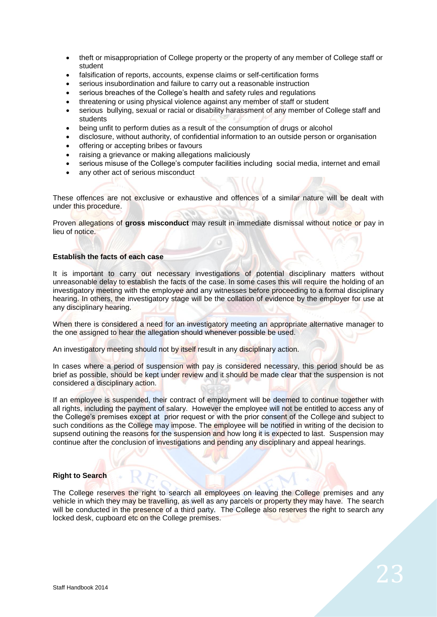- theft or misappropriation of College property or the property of any member of College staff or student
- falsification of reports, accounts, expense claims or self-certification forms
- serious insubordination and failure to carry out a reasonable instruction
- serious breaches of the College's health and safety rules and regulations
- threatening or using physical violence against any member of staff or student
- serious bullying, sexual or racial or disability harassment of any member of College staff and students
- being unfit to perform duties as a result of the consumption of drugs or alcohol
- disclosure, without authority, of confidential information to an outside person or organisation
- offering or accepting bribes or favours
- raising a grievance or making allegations maliciously
- serious misuse of the College's computer facilities including social media, internet and email
- any other act of serious misconduct

These offences are not exclusive or exhaustive and offences of a similar nature will be dealt with under this procedure.

Proven allegations of **gross misconduct** may result in immediate dismissal without notice or pay in lieu of notice.

# **Establish the facts of each case**

It is important to carry out necessary investigations of potential disciplinary matters without unreasonable delay to establish the facts of the case. In some cases this will require the holding of an investigatory meeting with the employee and any witnesses before proceeding to a formal disciplinary hearing. In others, the investigatory stage will be the collation of evidence by the employer for use at any disciplinary hearing.

When there is considered a need for an investigatory meeting an appropriate alternative manager to the one assigned to hear the allegation should whenever possible be used.

An investigatory meeting should not by itself result in any disciplinary action.

In cases where a period of suspension with pay is considered necessary, this period should be as brief as possible, should be kept under review and it should be made clear that the suspension is not considered a disciplinary action.

If an employee is suspended, their contract of employment will be deemed to continue together with all rights, including the payment of salary. However the employee will not be entitled to access any of the College's premises except at prior request or with the prior consent of the College and subject to such conditions as the College may impose. The employee will be notified in writing of the decision to supsend outining the reasons for the suspension and how long it is expected to last. Suspension may continue after the conclusion of investigations and pending any disciplinary and appeal hearings.

# **Right to Search**

The College reserves the right to search all employees on leaving the College premises and any vehicle in which they may be travelling, as well as any parcels or property they may have. The search will be conducted in the presence of a third party. The College also reserves the right to search any locked desk, cupboard etc on the College premises.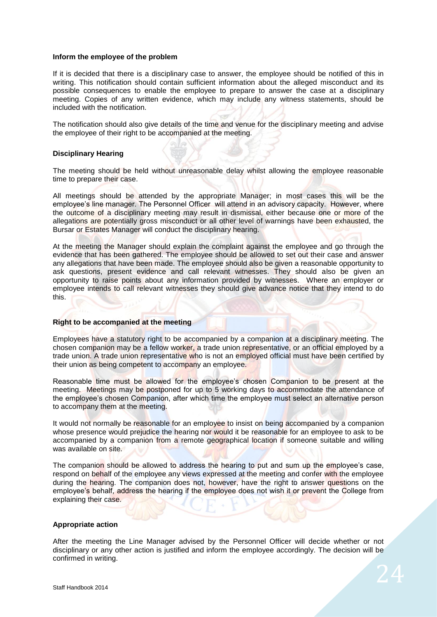#### **Inform the employee of the problem**

If it is decided that there is a disciplinary case to answer, the employee should be notified of this in writing. This notification should contain sufficient information about the alleged misconduct and its possible consequences to enable the employee to prepare to answer the case at a disciplinary meeting. Copies of any written evidence, which may include any witness statements, should be included with the notification.

The notification should also give details of the time and venue for the disciplinary meeting and advise the employee of their right to be accompanied at the meeting.

#### **Disciplinary Hearing**

The meeting should be held without unreasonable delay whilst allowing the employee reasonable time to prepare their case.

All meetings should be attended by the appropriate Manager; in most cases this will be the employee's line manager. The Personnel Officer will attend in an advisory capacity. However, where the outcome of a disciplinary meeting may result in dismissal, either because one or more of the allegations are potentially gross misconduct or all other level of warnings have been exhausted, the Bursar or Estates Manager will conduct the disciplinary hearing.

At the meeting the Manager should explain the complaint against the employee and go through the evidence that has been gathered. The employee should be allowed to set out their case and answer any allegations that have been made. The employee should also be given a reasonable opportunity to ask questions, present evidence and call relevant witnesses. They should also be given an opportunity to raise points about any information provided by witnesses. Where an employer or employee intends to call relevant witnesses they should give advance notice that they intend to do this.

#### **Right to be accompanied at the meeting**

Employees have a statutory right to be accompanied by a companion at a disciplinary meeting. The chosen companion may be a fellow worker, a trade union representative, or an official employed by a trade union. A trade union representative who is not an employed official must have been certified by their union as being competent to accompany an employee.

Reasonable time must be allowed for the employee's chosen Companion to be present at the meeting. Meetings may be postponed for up to 5 working days to accommodate the attendance of the employee's chosen Companion, after which time the employee must select an alternative person to accompany them at the meeting.

It would not normally be reasonable for an employee to insist on being accompanied by a companion whose presence would prejudice the hearing nor would it be reasonable for an employee to ask to be accompanied by a companion from a remote geographical location if someone suitable and willing was available on site.

The companion should be allowed to address the hearing to put and sum up the employee's case, respond on behalf of the employee any views expressed at the meeting and confer with the employee during the hearing. The companion does not, however, have the right to answer questions on the employee's behalf, address the hearing if the employee does not wish it or prevent the College from explaining their case.

#### **Appropriate action**

After the meeting the Line Manager advised by the Personnel Officer will decide whether or not disciplinary or any other action is justified and inform the employee accordingly. The decision will be confirmed in writing.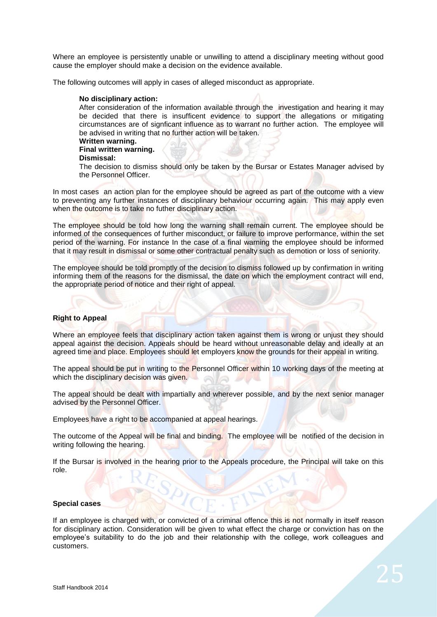Where an employee is persistently unable or unwilling to attend a disciplinary meeting without good cause the employer should make a decision on the evidence available.

The following outcomes will apply in cases of alleged misconduct as appropriate.

#### **No disciplinary action:**

After consideration of the information available through the investigation and hearing it may be decided that there is insufficent evidence to support the allegations or mitigating circumstances are of signficant influence as to warrant no further action. The employee will be advised in writing that no further action will be taken.

# **Written warning.**

# **Final written warning.**

**Dismissal:** 

The decision to dismiss should only be taken by the Bursar or Estates Manager advised by the Personnel Officer.

In most cases an action plan for the employee should be agreed as part of the outcome with a view to preventing any further instances of disciplinary behaviour occurring again. This may apply even when the outcome is to take no futher disciplinary action.

The employee should be told how long the warning shall remain current. The employee should be informed of the consequences of further misconduct, or failure to improve performance, within the set period of the warning. For instance In the case of a final warning the employee should be informed that it may result in dismissal or some other contractual penalty such as demotion or loss of seniority.

The employee should be told promptly of the decision to dismiss followed up by confirmation in writing informing them of the reasons for the dismissal, the date on which the employment contract will end, the appropriate period of notice and their right of appeal.

# **Right to Appeal**

Where an employee feels that disciplinary action taken against them is wrong or unjust they should appeal against the decision. Appeals should be heard without unreasonable delay and ideally at an agreed time and place. Employees should let employers know the grounds for their appeal in writing.

The appeal should be put in writing to the Personnel Officer within 10 working days of the meeting at which the disciplinary decision was given.

The appeal should be dealt with impartially and wherever possible, and by the next senior manager advised by the Personnel Officer.

Employees have a right to be accompanied at appeal hearings.

The outcome of the Appeal will be final and binding. The employee will be notified of the decision in writing following the hearing.

If the Bursar is involved in the hearing prior to the Appeals procedure, the Principal will take on this role.

#### **Special cases**

If an employee is charged with, or convicted of a criminal offence this is not normally in itself reason for disciplinary action. Consideration will be given to what effect the charge or conviction has on the employee's suitability to do the job and their relationship with the college, work colleagues and customers.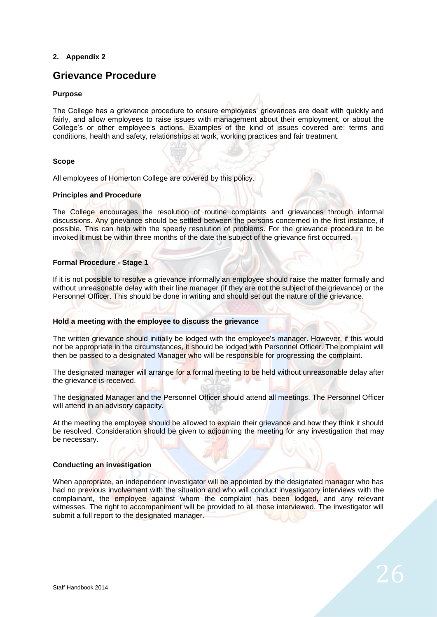# **2. Appendix 2**

# **Grievance Procedure**

# **Purpose**

The College has a grievance procedure to ensure employees' grievances are dealt with quickly and fairly, and allow employees to raise issues with management about their employment, or about the College's or other employee's actions. Examples of the kind of issues covered are: terms and conditions, health and safety, relationships at work, working practices and fair treatment.

# **Scope**

All employees of Homerton College are covered by this policy.

# **Principles and Procedure**

The College encourages the resolution of routine complaints and grievances through informal discussions. Any grievance should be settled between the persons concerned in the first instance, if possible. This can help with the speedy resolution of problems. For the grievance procedure to be invoked it must be within three months of the date the subject of the grievance first occurred.

# **Formal Procedure - Stage 1**

If it is not possible to resolve a grievance informally an employee should raise the matter formally and without unreasonable delay with their line manager (if they are not the subject of the grievance) or the Personnel Officer. This should be done in writing and should set out the nature of the grievance.

#### **Hold a meeting with the employee to discuss the grievance**

The written grievance should initially be lodged with the employee's manager. However, if this would not be appropriate in the circumstances, it should be lodged with Personnel Officer. The complaint will then be passed to a designated Manager who will be responsible for progressing the complaint.

The designated manager will arrange for a formal meeting to be held without unreasonable delay after the grievance is received.

The designated Manager and the Personnel Officer should attend all meetings. The Personnel Officer will attend in an advisory capacity.

At the meeting the employee should be allowed to explain their grievance and how they think it should be resolved. Consideration should be given to adjourning the meeting for any investigation that may be necessary.

#### **Conducting an investigation**

When appropriate, an independent investigator will be appointed by the designated manager who has had no previous involvement with the situation and who will conduct investigatory interviews with the complainant, the employee against whom the complaint has been lodged, and any relevant witnesses. The right to accompaniment will be provided to all those interviewed. The investigator will submit a full report to the designated manager.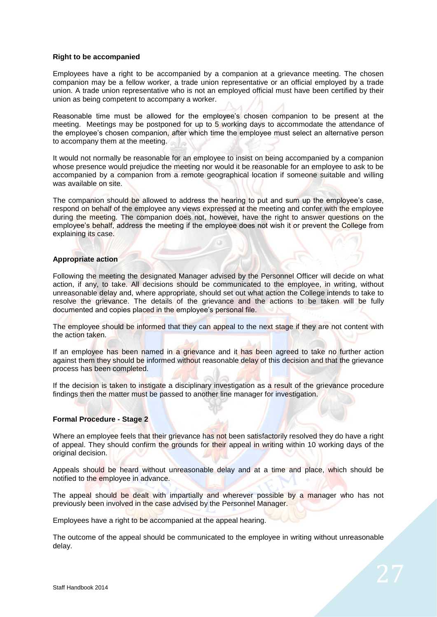#### **Right to be accompanied**

Employees have a right to be accompanied by a companion at a grievance meeting. The chosen companion may be a fellow worker, a trade union representative or an official employed by a trade union. A trade union representative who is not an employed official must have been certified by their union as being competent to accompany a worker.

Reasonable time must be allowed for the employee's chosen companion to be present at the meeting. Meetings may be postponed for up to 5 working days to accommodate the attendance of the employee's chosen companion, after which time the employee must select an alternative person to accompany them at the meeting.

It would not normally be reasonable for an employee to insist on being accompanied by a companion whose presence would prejudice the meeting nor would it be reasonable for an employee to ask to be accompanied by a companion from a remote geographical location if someone suitable and willing was available on site.

The companion should be allowed to address the hearing to put and sum up the employee's case, respond on behalf of the employee any views expressed at the meeting and confer with the employee during the meeting. The companion does not, however, have the right to answer questions on the employee's behalf, address the meeting if the employee does not wish it or prevent the College from explaining its case.

#### **Appropriate action**

Following the meeting the designated Manager advised by the Personnel Officer will decide on what action, if any, to take. All decisions should be communicated to the employee, in writing, without unreasonable delay and, where appropriate, should set out what action the College intends to take to resolve the grievance. The details of the grievance and the actions to be taken will be fully documented and copies placed in the employee's personal file.

The employee should be informed that they can appeal to the next stage if they are not content with the action taken.

If an employee has been named in a grievance and it has been agreed to take no further action against them they should be informed without reasonable delay of this decision and that the grievance process has been completed.

If the decision is taken to instigate a disciplinary investigation as a result of the grievance procedure findings then the matter must be passed to another line manager for investigation.

#### **Formal Procedure - Stage 2**

Where an employee feels that their grievance has not been satisfactorily resolved they do have a right of appeal. They should confirm the grounds for their appeal in writing within 10 working days of the original decision.

Appeals should be heard without unreasonable delay and at a time and place, which should be notified to the employee in advance.

The appeal should be dealt with impartially and wherever possible by a manager who has not previously been involved in the case advised by the Personnel Manager.

Employees have a right to be accompanied at the appeal hearing.

The outcome of the appeal should be communicated to the employee in writing without unreasonable delay.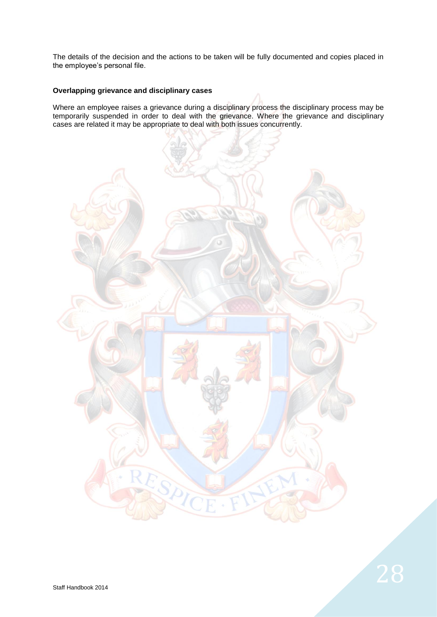The details of the decision and the actions to be taken will be fully documented and copies placed in the employee's personal file.

# **Overlapping grievance and disciplinary cases**

Where an employee raises a grievance during a disciplinary process the disciplinary process may be temporarily suspended in order to deal with the grievance. Where the grievance and disciplinary cases are related it may be appropriate to deal with both issues concurrently.

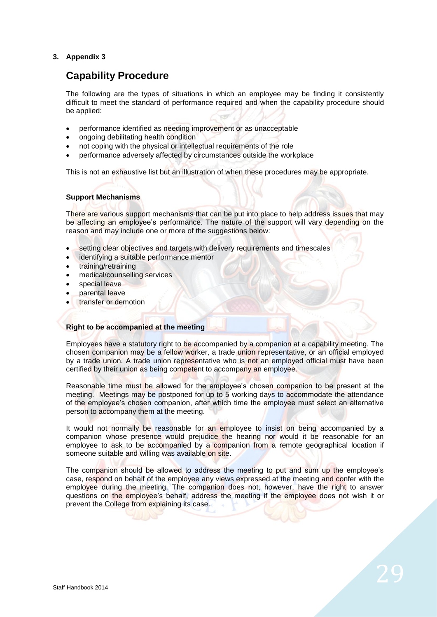# **3. Appendix 3**

# **Capability Procedure**

The following are the types of situations in which an employee may be finding it consistently difficult to meet the standard of performance required and when the capability procedure should be applied:

- performance identified as needing improvement or as unacceptable
- ongoing debilitating health condition
- not coping with the physical or intellectual requirements of the role
- performance adversely affected by circumstances outside the workplace

This is not an exhaustive list but an illustration of when these procedures may be appropriate.

# **Support Mechanisms**

There are various support mechanisms that can be put into place to help address issues that may be affecting an employee's performance. The nature of the support will vary depending on the reason and may include one or more of the suggestions below:

- setting clear objectives and targets with delivery requirements and timescales
- identifying a suitable performance mentor
- training/retraining
- medical/counselling services
- special leave
- parental leave
- transfer or demotion

#### **Right to be accompanied at the meeting**

Employees have a statutory right to be accompanied by a companion at a capability meeting. The chosen companion may be a fellow worker, a trade union representative, or an official employed by a trade union. A trade union representative who is not an employed official must have been certified by their union as being competent to accompany an employee.

Reasonable time must be allowed for the employee's chosen companion to be present at the meeting. Meetings may be postponed for up to 5 working days to accommodate the attendance of the employee's chosen companion, after which time the employee must select an alternative person to accompany them at the meeting.

It would not normally be reasonable for an employee to insist on being accompanied by a companion whose presence would prejudice the hearing nor would it be reasonable for an employee to ask to be accompanied by a companion from a remote geographical location if someone suitable and willing was available on site.

The companion should be allowed to address the meeting to put and sum up the employee's case, respond on behalf of the employee any views expressed at the meeting and confer with the employee during the meeting. The companion does not, however, have the right to answer questions on the employee's behalf, address the meeting if the employee does not wish it or prevent the College from explaining its case.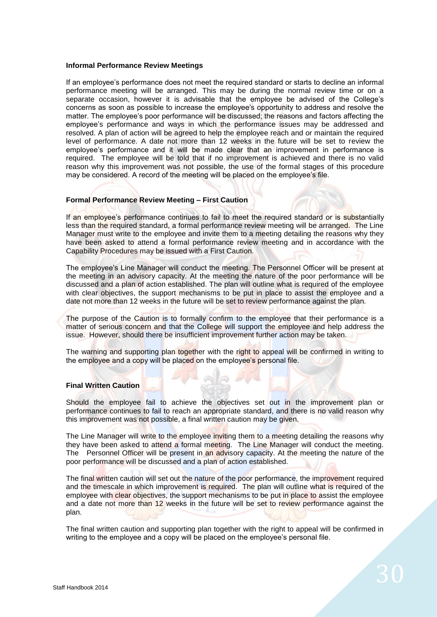#### **Informal Performance Review Meetings**

If an employee's performance does not meet the required standard or starts to decline an informal performance meeting will be arranged. This may be during the normal review time or on a separate occasion, however it is advisable that the employee be advised of the College's concerns as soon as possible to increase the employee's opportunity to address and resolve the matter. The employee's poor performance will be discussed; the reasons and factors affecting the employee's performance and ways in which the performance issues may be addressed and resolved. A plan of action will be agreed to help the employee reach and or maintain the required level of performance. A date not more than 12 weeks in the future will be set to review the employee's performance and it will be made clear that an improvement in performance is required. The employee will be told that if no improvement is achieved and there is no valid reason why this improvement was not possible, the use of the formal stages of this procedure may be considered. A record of the meeting will be placed on the employee's file.

#### **Formal Performance Review Meeting – First Caution**

If an employee's performance continues to fail to meet the required standard or is substantially less than the required standard, a formal performance review meeting will be arranged. The Line Manager must write to the employee and invite them to a meeting detailing the reasons why they have been asked to attend a formal performance review meeting and in accordance with the Capability Procedures may be issued with a First Caution.

The employee's Line Manager will conduct the meeting. The Personnel Officer will be present at the meeting in an advisory capacity. At the meeting the nature of the poor performance will be discussed and a plan of action established. The plan will outline what is required of the employee with clear objectives, the support mechanisms to be put in place to assist the employee and a date not more than 12 weeks in the future will be set to review performance against the plan.

The purpose of the Caution is to formally confirm to the employee that their performance is a matter of serious concern and that the College will support the employee and help address the issue. However, should there be insufficient improvement further action may be taken.

The warning and supporting plan together with the right to appeal will be confirmed in writing to the employee and a copy will be placed on the employee's personal file.

#### **Final Written Caution**

Should the employee fail to achieve the objectives set out in the improvement plan or performance continues to fail to reach an appropriate standard, and there is no valid reason why this improvement was not possible, a final written caution may be given.

The Line Manager will write to the employee inviting them to a meeting detailing the reasons why they have been asked to attend a formal meeting. The Line Manager will conduct the meeting. The Personnel Officer will be present in an advisory capacity. At the meeting the nature of the poor performance will be discussed and a plan of action established.

The final written caution will set out the nature of the poor performance, the improvement required and the timescale in which improvement is required. The plan will outline what is required of the employee with clear objectives, the support mechanisms to be put in place to assist the employee and a date not more than 12 weeks in the future will be set to review performance against the plan.

The final written caution and supporting plan together with the right to appeal will be confirmed in writing to the employee and a copy will be placed on the employee's personal file.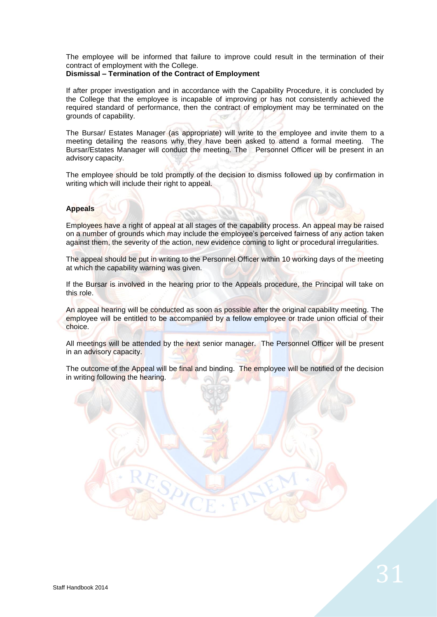The employee will be informed that failure to improve could result in the termination of their contract of employment with the College.

# **Dismissal – Termination of the Contract of Employment**

If after proper investigation and in accordance with the Capability Procedure, it is concluded by the College that the employee is incapable of improving or has not consistently achieved the required standard of performance, then the contract of employment may be terminated on the grounds of capability.

The Bursar/ Estates Manager (as appropriate) will write to the employee and invite them to a meeting detailing the reasons why they have been asked to attend a formal meeting. The Bursar/Estates Manager will conduct the meeting. The Personnel Officer will be present in an advisory capacity.

The employee should be told promptly of the decision to dismiss followed up by confirmation in writing which will include their right to appeal.

# **Appeals**

Employees have a right of appeal at all stages of the capability process. An appeal may be raised on a number of grounds which may include the employee's perceived fairness of any action taken against them, the severity of the action, new evidence coming to light or procedural irregularities.

The appeal should be put in writing to the Personnel Officer within 10 working days of the meeting at which the capability warning was given.

If the Bursar is involved in the hearing prior to the Appeals procedure, the Principal will take on this role.

An appeal hearing will be conducted as soon as possible after the original capability meeting. The employee will be entitled to be accompanied by a fellow employee or trade union official of their choice.

All meetings will be attended by the next senior manager. The Personnel Officer will be present in an advisory capacity.

The outcome of the Appeal will be final and binding. The employee will be notified of the decision in writing following the hearing.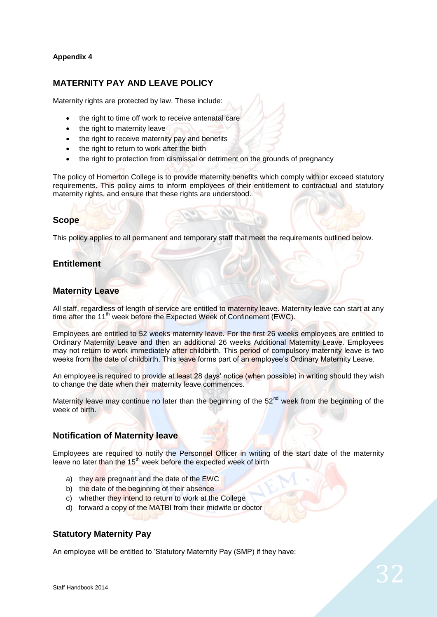# **Appendix 4**

# **MATERNITY PAY AND LEAVE POLICY**

Maternity rights are protected by law. These include:

- the right to time off work to receive antenatal care
- the right to maternity leave
- the right to receive maternity pay and benefits
- the right to return to work after the birth
- the right to protection from dismissal or detriment on the grounds of pregnancy

The policy of Homerton College is to provide maternity benefits which comply with or exceed statutory requirements. This policy aims to inform employees of their entitlement to contractual and statutory maternity rights, and ensure that these rights are understood.

# **Scope**

This policy applies to all permanent and temporary staff that meet the requirements outlined below.

# **Entitlement**

# **Maternity Leave**

All staff, regardless of length of service are entitled to maternity leave. Maternity leave can start at any time after the 11<sup>th</sup> week before the Expected Week of Confinement (EWC).

Employees are entitled to 52 weeks maternity leave. For the first 26 weeks employees are entitled to Ordinary Maternity Leave and then an additional 26 weeks Additional Maternity Leave. Employees may not return to work immediately after childbirth. This period of compulsory maternity leave is two weeks from the date of childbirth. This leave forms part of an employee's Ordinary Maternity Leave.

An employee is required to provide at least 28 days' notice (when possible) in writing should they wish to change the date when their maternity leave commences.

Maternity leave may continue no later than the beginning of the 52<sup>nd</sup> week from the beginning of the week of birth.

# **Notification of Maternity leave**

Employees are required to notify the Personnel Officer in writing of the start date of the maternity leave no later than the 15<sup>th</sup> week before the expected week of birth

- a) they are pregnant and the date of the EWC
- b) the date of the beginning of their absence
- c) whether they intend to return to work at the College
- d) forward a copy of the MATBI from their midwife or doctor

# **Statutory Maternity Pay**

An employee will be entitled to 'Statutory Maternity Pay (SMP) if they have: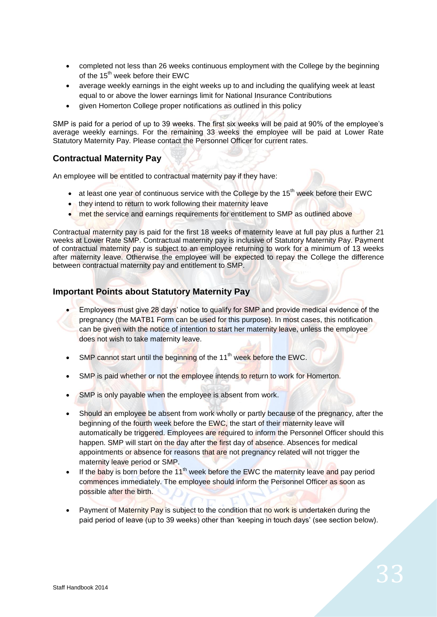- completed not less than 26 weeks continuous employment with the College by the beginning of the 15<sup>th</sup> week before their EWC
- average weekly earnings in the eight weeks up to and including the qualifying week at least equal to or above the lower earnings limit for National Insurance Contributions
- given Homerton College proper notifications as outlined in this policy

SMP is paid for a period of up to 39 weeks. The first six weeks will be paid at 90% of the employee's average weekly earnings. For the remaining 33 weeks the employee will be paid at Lower Rate Statutory Maternity Pay. Please contact the Personnel Officer for current rates.

# **Contractual Maternity Pay**

An employee will be entitled to contractual maternity pay if they have:

- $\bullet$  at least one year of continuous service with the College by the 15<sup>th</sup> week before their EWC
- they intend to return to work following their maternity leave
- met the service and earnings requirements for entitlement to SMP as outlined above

Contractual maternity pay is paid for the first 18 weeks of maternity leave at full pay plus a further 21 weeks at Lower Rate SMP. Contractual maternity pay is inclusive of Statutory Maternity Pay. Payment of contractual maternity pay is subject to an employee returning to work for a minimum of 13 weeks after maternity leave. Otherwise the employee will be expected to repay the College the difference between contractual maternity pay and entitlement to SMP.

# **Important Points about Statutory Maternity Pay**

- Employees must give 28 days' notice to qualify for SMP and provide medical evidence of the pregnancy (the MATB1 Form can be used for this purpose). In most cases, this notification can be given with the notice of intention to start her maternity leave, unless the employee does not wish to take maternity leave.
- SMP cannot start until the beginning of the 11<sup>th</sup> week before the EWC.
- SMP is paid whether or not the employee intends to return to work for Homerton.
- **SMP** is only payable when the employee is absent from work.
- Should an employee be absent from work wholly or partly because of the pregnancy, after the beginning of the fourth week before the EWC, the start of their maternity leave will automatically be triggered. Employees are required to inform the Personnel Officer should this happen. SMP will start on the day after the first day of absence. Absences for medical appointments or absence for reasons that are not pregnancy related will not trigger the maternity leave period or SMP.
- If the baby is born before the  $11<sup>th</sup>$  week before the EWC the maternity leave and pay period commences immediately. The employee should inform the Personnel Officer as soon as possible after the birth.
- Payment of Maternity Pay is subject to the condition that no work is undertaken during the paid period of leave (up to 39 weeks) other than 'keeping in touch days' (see section below).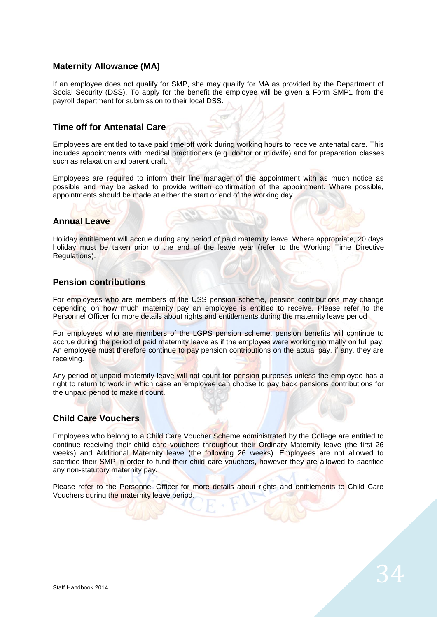# **Maternity Allowance (MA)**

If an employee does not qualify for SMP, she may qualify for MA as provided by the Department of Social Security (DSS). To apply for the benefit the employee will be given a Form SMP1 from the payroll department for submission to their local DSS.

# **Time off for Antenatal Care**

Employees are entitled to take paid time off work during working hours to receive antenatal care. This includes appointments with medical practitioners (e.g. doctor or midwife) and for preparation classes such as relaxation and parent craft.

Employees are required to inform their line manager of the appointment with as much notice as possible and may be asked to provide written confirmation of the appointment. Where possible, appointments should be made at either the start or end of the working day.

# **Annual Leave**

Holiday entitlement will accrue during any period of paid maternity leave. Where appropriate, 20 days holiday must be taken prior to the end of the leave year (refer to the Working Time Directive Regulations).

# **Pension contributions**

For employees who are members of the USS pension scheme, pension contributions may change depending on how much maternity pay an employee is entitled to receive. Please refer to the Personnel Officer for more details about rights and entitlements during the maternity leave period

For employees who are members of the LGPS pension scheme, pension benefits will continue to accrue during the period of paid maternity leave as if the employee were working normally on full pay. An employee must therefore continue to pay pension contributions on the actual pay, if any, they are receiving.

Any period of unpaid maternity leave will not count for pension purposes unless the employee has a right to return to work in which case an employee can choose to pay back pensions contributions for the unpaid period to make it count.

# **Child Care Vouchers**

Employees who belong to a Child Care Voucher Scheme administrated by the College are entitled to continue receiving their child care vouchers throughout their Ordinary Maternity leave (the first 26 weeks) and Additional Maternity leave (the following 26 weeks). Employees are not allowed to sacrifice their SMP in order to fund their child care vouchers, however they are allowed to sacrifice any non-statutory maternity pay.

Please refer to the Personnel Officer for more details about rights and entitlements to Child Care Vouchers during the maternity leave period.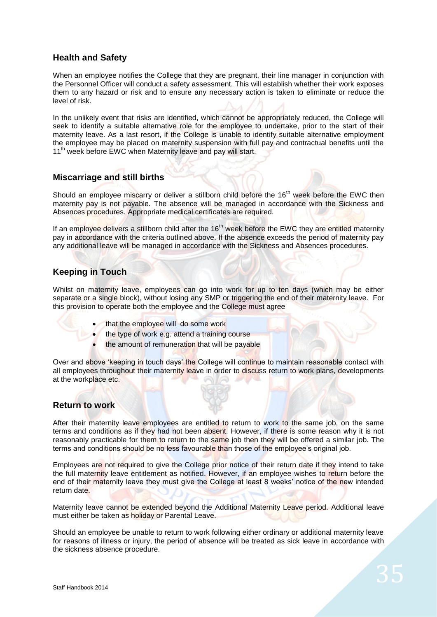# **Health and Safety**

When an employee notifies the College that they are pregnant, their line manager in conjunction with the Personnel Officer will conduct a safety assessment. This will establish whether their work exposes them to any hazard or risk and to ensure any necessary action is taken to eliminate or reduce the level of risk.

In the unlikely event that risks are identified, which cannot be appropriately reduced, the College will seek to identify a suitable alternative role for the employee to undertake, prior to the start of their maternity leave. As a last resort, if the College is unable to identify suitable alternative employment the employee may be placed on maternity suspension with full pay and contractual benefits until the 11<sup>th</sup> week before EWC when Maternity leave and pay will start.

# **Miscarriage and still births**

Should an employee miscarry or deliver a stillborn child before the 16<sup>th</sup> week before the EWC then maternity pay is not payable. The absence will be managed in accordance with the Sickness and Absences procedures. Appropriate medical certificates are required.

If an employee delivers a stillborn child after the 16<sup>th</sup> week before the EWC they are entitled maternity pay in accordance with the criteria outlined above. If the absence exceeds the period of maternity pay any additional leave will be managed in accordance with the Sickness and Absences procedures.

# **Keeping in Touch**

Whilst on maternity leave, employees can go into work for up to ten days (which may be either separate or a single block), without losing any SMP or triggering the end of their maternity leave. For this provision to operate both the employee and the College must agree

- that the employee will do some work
- the type of work e.g. attend a training course
- the amount of remuneration that will be payable

Over and above 'keeping in touch days' the College will continue to maintain reasonable contact with all employees throughout their maternity leave in order to discuss return to work plans, developments at the workplace etc.

# **Return to work**

After their maternity leave employees are entitled to return to work to the same job, on the same terms and conditions as if they had not been absent. However, if there is some reason why it is not reasonably practicable for them to return to the same job then they will be offered a similar job. The terms and conditions should be no less favourable than those of the employee's original job.

Employees are not required to give the College prior notice of their return date if they intend to take the full maternity leave entitlement as notified. However, if an employee wishes to return before the end of their maternity leave they must give the College at least 8 weeks' notice of the new intended return date.

Maternity leave cannot be extended beyond the Additional Maternity Leave period. Additional leave must either be taken as holiday or Parental Leave.

Should an employee be unable to return to work following either ordinary or additional maternity leave for reasons of illness or injury, the period of absence will be treated as sick leave in accordance with the sickness absence procedure.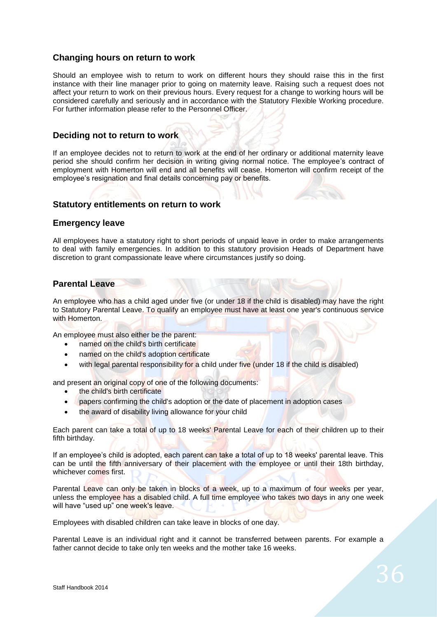# **Changing hours on return to work**

Should an employee wish to return to work on different hours they should raise this in the first instance with their line manager prior to going on maternity leave. Raising such a request does not affect your return to work on their previous hours. Every request for a change to working hours will be considered carefully and seriously and in accordance with the Statutory Flexible Working procedure. For further information please refer to the Personnel Officer.

# **Deciding not to return to work**

If an employee decides not to return to work at the end of her ordinary or additional maternity leave period she should confirm her decision in writing giving normal notice. The employee's contract of employment with Homerton will end and all benefits will cease. Homerton will confirm receipt of the employee's resignation and final details concerning pay or benefits.

# **Statutory entitlements on return to work**

# **Emergency leave**

All employees have a statutory right to short periods of unpaid leave in order to make arrangements to deal with family emergencies. In addition to this statutory provision Heads of Department have discretion to grant compassionate leave where circumstances justify so doing.

# **Parental Leave**

An employee who has a child aged under five (or under 18 if the child is disabled) may have the right to Statutory Parental Leave. To qualify an employee must have at least one year's continuous service with Homerton.

An employee must also either be the parent:

- named on the child's birth certificate
- named on the child's adoption certificate
- with legal parental responsibility for a child under five (under 18 if the child is disabled)

and present an original copy of one of the following documents:

- the child's birth certificate
- papers confirming the child's adoption or the date of placement in adoption cases
- the award of disability living allowance for your child

Each parent can take a total of up to 18 weeks' Parental Leave for each of their children up to their fifth birthday.

If an employee's child is adopted, each parent can take a total of up to 18 weeks' parental leave. This can be until the fifth anniversary of their placement with the employee or until their 18th birthday, whichever comes first.

Parental Leave can only be taken in blocks of a week, up to a maximum of four weeks per year, unless the employee has a disabled child. A full time employee who takes two days in any one week will have "used up" one week's leave.

Employees with disabled children can take leave in blocks of one day.

Parental Leave is an individual right and it cannot be transferred between parents. For example a father cannot decide to take only ten weeks and the mother take 16 weeks.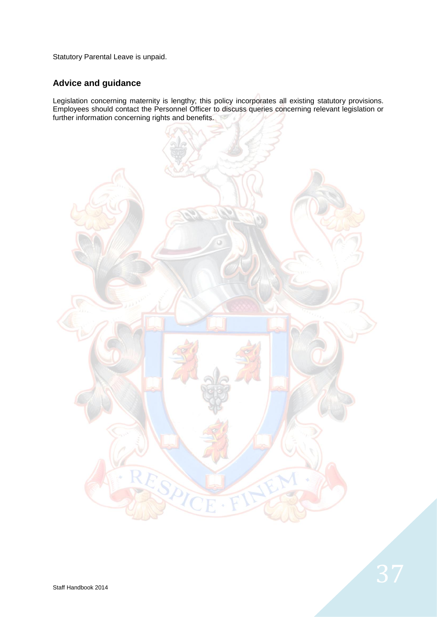Statutory Parental Leave is unpaid.

# **Advice and guidance**

Legislation concerning maternity is lengthy; this policy incorporates all existing statutory provisions. Employees should contact the Personnel Officer to discuss queries concerning relevant legislation or further information concerning rights and benefits.

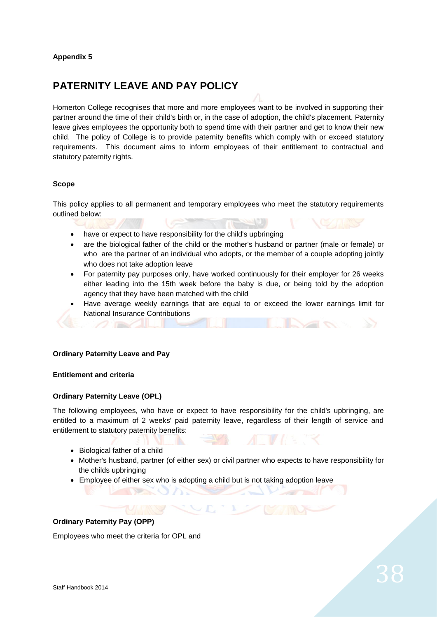# **PATERNITY LEAVE AND PAY POLICY**

Homerton College recognises that more and more employees want to be involved in supporting their partner around the time of their child's birth or, in the case of adoption, the child's placement. Paternity leave gives employees the opportunity both to spend time with their partner and get to know their new child. The policy of College is to provide paternity benefits which comply with or exceed statutory requirements. This document aims to inform employees of their entitlement to contractual and statutory paternity rights.

# **Scope**

This policy applies to all permanent and temporary employees who meet the statutory requirements outlined below:

- have or expect to have responsibility for the child's upbringing
- are the biological father of the child or the mother's husband or partner (male or female) or who are the partner of an individual who adopts, or the member of a couple adopting jointly who does not take adoption leave
- For paternity pay purposes only, have worked continuously for their employer for 26 weeks either leading into the 15th week before the baby is due, or being told by the adoption agency that they have been matched with the child
- Have average weekly earnings that are equal to or exceed the lower earnings limit for National Insurance Contributions

#### **Ordinary Paternity Leave and Pay**

# **Entitlement and criteria**

#### **Ordinary Paternity Leave (OPL)**

The following employees, who have or expect to have responsibility for the child's upbringing, are entitled to a maximum of 2 weeks' paid paternity leave, regardless of their length of service and entitlement to statutory paternity benefits:

- Biological father of a child
- Mother's husband, partner (of either sex) or civil partner who expects to have responsibility for the childs upbringing
- Employee of either sex who is adopting a child but is not taking adoption leave

# **Ordinary Paternity Pay (OPP)**

Employees who meet the criteria for OPL and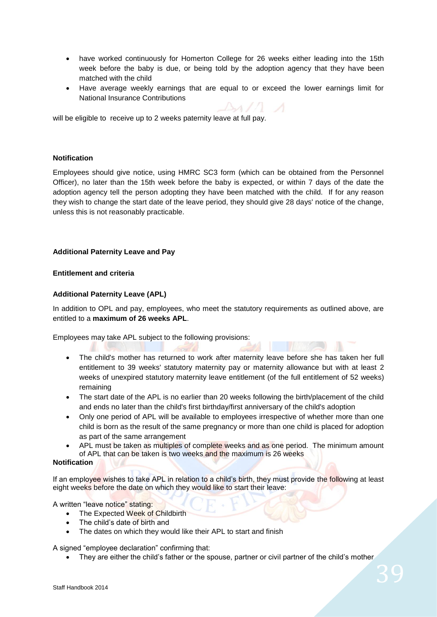- have worked continuously for Homerton College for 26 weeks either leading into the 15th week before the baby is due, or being told by the adoption agency that they have been matched with the child
- Have average weekly earnings that are equal to or exceed the lower earnings limit for National Insurance Contributions

will be eligible to receive up to 2 weeks paternity leave at full pay.

# **Notification**

Employees should give notice, using HMRC SC3 form (which can be obtained from the Personnel Officer), no later than the 15th week before the baby is expected, or within 7 days of the date the adoption agency tell the person adopting they have been matched with the child. If for any reason they wish to change the start date of the leave period, they should give 28 days' notice of the change, unless this is not reasonably practicable.

# **Additional Paternity Leave and Pay**

#### **Entitlement and criteria**

# **Additional Paternity Leave (APL)**

In addition to OPL and pay, employees, who meet the statutory requirements as outlined above, are entitled to a **maximum of 26 weeks APL**.

Employees may take APL subject to the following provisions:

- The child's mother has returned to work after maternity leave before she has taken her full entitlement to 39 weeks' statutory maternity pay or maternity allowance but with at least 2 weeks of unexpired statutory maternity leave entitlement (of the full entitlement of 52 weeks) remaining
- The start date of the APL is no earlier than 20 weeks following the birth/placement of the child and ends no later than the child's first birthday/first anniversary of the child's adoption
- Only one period of APL will be available to employees irrespective of whether more than one child is born as the result of the same pregnancy or more than one child is placed for adoption as part of the same arrangement
- APL must be taken as multiples of complete weeks and as one period. The minimum amount of APL that can be taken is two weeks and the maximum is 26 weeks

# **Notification**

If an employee wishes to take APL in relation to a child's birth, they must provide the following at least eight weeks before the date on which they would like to start their leave:

A written "leave notice" stating:

- The Expected Week of Childbirth
- The child's date of birth and
- The dates on which they would like their APL to start and finish

A signed "employee declaration" confirming that:

They are either the child's father or the spouse, partner or civil partner of the child's mother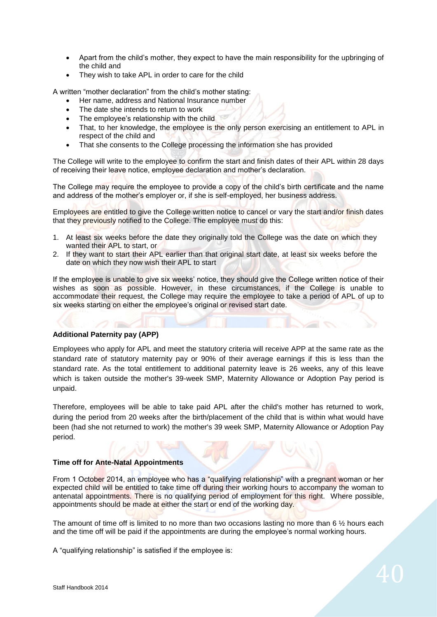- Apart from the child's mother, they expect to have the main responsibility for the upbringing of the child and
- They wish to take APL in order to care for the child

A written "mother declaration" from the child's mother stating:

- Her name, address and National Insurance number
- The date she intends to return to work
- The employee's relationship with the child
- That, to her knowledge, the employee is the only person exercising an entitlement to APL in respect of the child and
- That she consents to the College processing the information she has provided

The College will write to the employee to confirm the start and finish dates of their APL within 28 days of receiving their leave notice, employee declaration and mother's declaration.

The College may require the employee to provide a copy of the child's birth certificate and the name and address of the mother's employer or, if she is self-employed, her business address.

Employees are entitled to give the College written notice to cancel or vary the start and/or finish dates that they previously notified to the College. The employee must do this:

- 1. At least six weeks before the date they originally told the College was the date on which they wanted their APL to start, or
- 2. If they want to start their APL earlier than that original start date, at least six weeks before the date on which they now wish their APL to start

If the employee is unable to give six weeks' notice, they should give the College written notice of their wishes as soon as possible. However, in these circumstances, if the College is unable to accommodate their request, the College may require the employee to take a period of APL of up to six weeks starting on either the employee's original or revised start date.

#### **Additional Paternity pay (APP)**

Employees who apply for APL and meet the statutory criteria will receive APP at the same rate as the standard rate of statutory maternity pay or 90% of their average earnings if this is less than the standard rate. As the total entitlement to additional paternity leave is 26 weeks, any of this leave which is taken outside the mother's 39-week SMP, Maternity Allowance or Adoption Pay period is unpaid.

Therefore, employees will be able to take paid APL after the child's mother has returned to work, during the period from 20 weeks after the birth/placement of the child that is within what would have been (had she not returned to work) the mother's 39 week SMP, Maternity Allowance or Adoption Pay period.

# **Time off for Ante-Natal Appointments**

From 1 October 2014, an employee who has a "qualifying relationship" with a pregnant woman or her expected child will be entitled to take time off during their working hours to accompany the woman to antenatal appointments. There is no qualifying period of employment for this right. Where possible, appointments should be made at either the start or end of the working day.

The amount of time off is limited to no more than two occasions lasting no more than 6  $\frac{1}{2}$  hours each and the time off will be paid if the appointments are during the employee's normal working hours.

A "qualifying relationship" is satisfied if the employee is: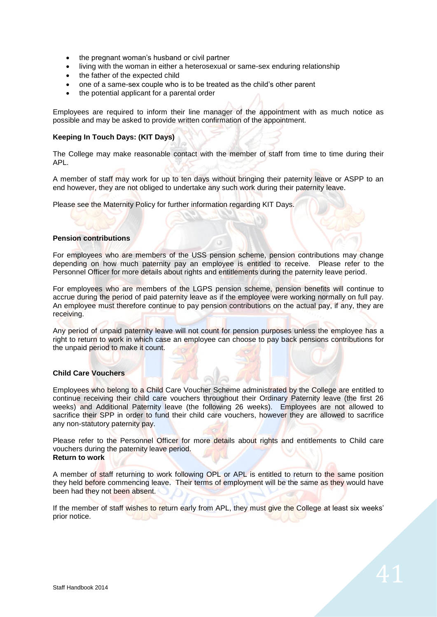- the pregnant woman's husband or civil partner
- living with the woman in either a heterosexual or same-sex enduring relationship
- the father of the expected child
- one of a same-sex couple who is to be treated as the child's other parent
- the potential applicant for a parental order

Employees are required to inform their line manager of the appointment with as much notice as possible and may be asked to provide written confirmation of the appointment.

# **Keeping In Touch Days: (KIT Days)**

The College may make reasonable contact with the member of staff from time to time during their APL.

A member of staff may work for up to ten days without bringing their paternity leave or ASPP to an end however, they are not obliged to undertake any such work during their paternity leave.

Please see the Maternity Policy for further information regarding KIT Days.

#### **Pension contributions**

For employees who are members of the USS pension scheme, pension contributions may change depending on how much paternity pay an employee is entitled to receive. Please refer to the Personnel Officer for more details about rights and entitlements during the paternity leave period.

For employees who are members of the LGPS pension scheme, pension benefits will continue to accrue during the period of paid paternity leave as if the employee were working normally on full pay. An employee must therefore continue to pay pension contributions on the actual pay, if any, they are receiving.

Any period of unpaid paternity leave will not count for pension purposes unless the employee has a right to return to work in which case an employee can choose to pay back pensions contributions for the unpaid period to make it count.

#### **Child Care Vouchers**

Employees who belong to a Child Care Voucher Scheme administrated by the College are entitled to continue receiving their child care vouchers throughout their Ordinary Paternity leave (the first 26 weeks) and Additional Paternity leave (the following 26 weeks). Employees are not allowed to sacrifice their SPP in order to fund their child care vouchers, however they are allowed to sacrifice any non-statutory paternity pay.

Please refer to the Personnel Officer for more details about rights and entitlements to Child care vouchers during the paternity leave period. **Return to work**

A member of staff returning to work following OPL or APL is entitled to return to the same position they held before commencing leave. Their terms of employment will be the same as they would have been had they not been absent.

If the member of staff wishes to return early from APL, they must give the College at least six weeks' prior notice.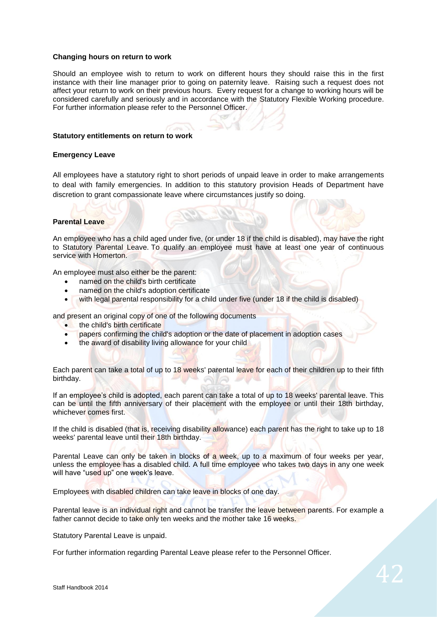#### **Changing hours on return to work**

Should an employee wish to return to work on different hours they should raise this in the first instance with their line manager prior to going on paternity leave. Raising such a request does not affect your return to work on their previous hours. Every request for a change to working hours will be considered carefully and seriously and in accordance with the Statutory Flexible Working procedure. For further information please refer to the Personnel Officer.

#### **Statutory entitlements on return to work**

#### **Emergency Leave**

All employees have a statutory right to short periods of unpaid leave in order to make arrangements to deal with family emergencies. In addition to this statutory provision Heads of Department have discretion to grant compassionate leave where circumstances justify so doing.

#### **Parental Leave**

An employee who has a child aged under five, (or under 18 if the child is disabled), may have the right to Statutory Parental Leave. To qualify an employee must have at least one year of continuous service with Homerton.

An employee must also either be the parent:

- named on the child's birth certificate
- named on the child's adoption certificate
- with legal parental responsibility for a child under five (under 18 if the child is disabled)

and present an original copy of one of the following documents

- the child's birth certificate
- papers confirming the child's adoption or the date of placement in adoption cases
- the award of disability living allowance for your child

Each parent can take a total of up to 18 weeks' parental leave for each of their children up to their fifth birthday.

If an employee's child is adopted, each parent can take a total of up to 18 weeks' parental leave. This can be until the fifth anniversary of their placement with the employee or until their 18th birthday, whichever comes first.

If the child is disabled (that is, receiving disability allowance) each parent has the right to take up to 18 weeks' parental leave until their 18th birthday.

Parental Leave can only be taken in blocks of a week, up to a maximum of four weeks per year, unless the employee has a disabled child. A full time employee who takes two days in any one week will have "used up" one week's leave.

Employees with disabled children can take leave in blocks of one day.

Parental leave is an individual right and cannot be transfer the leave between parents. For example a father cannot decide to take only ten weeks and the mother take 16 weeks.

Statutory Parental Leave is unpaid.

For further information regarding Parental Leave please refer to the Personnel Officer.